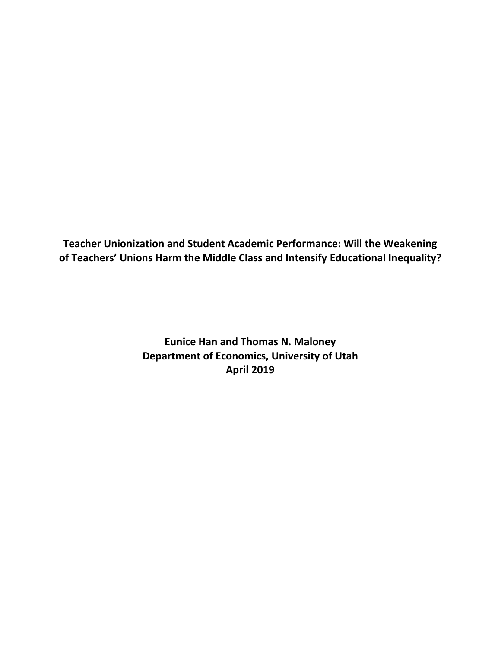**Teacher Unionization and Student Academic Performance: Will the Weakening of Teachers' Unions Harm the Middle Class and Intensify Educational Inequality?**

> **Eunice Han and Thomas N. Maloney Department of Economics, University of Utah April 2019**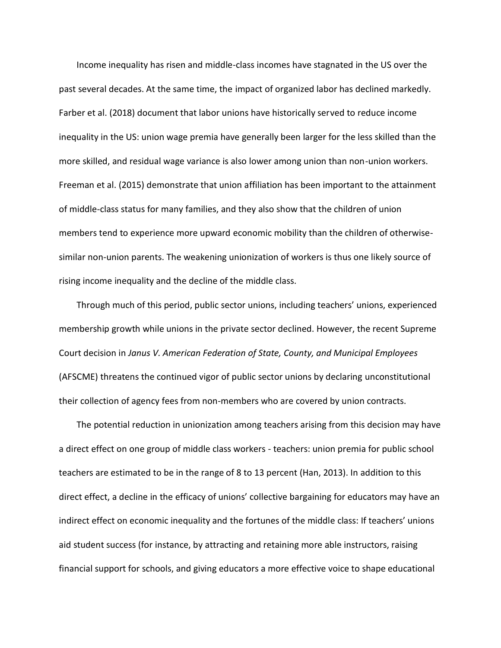Income inequality has risen and middle-class incomes have stagnated in the US over the past several decades. At the same time, the impact of organized labor has declined markedly. Farber et al. (2018) document that labor unions have historically served to reduce income inequality in the US: union wage premia have generally been larger for the less skilled than the more skilled, and residual wage variance is also lower among union than non-union workers. Freeman et al. (2015) demonstrate that union affiliation has been important to the attainment of middle-class status for many families, and they also show that the children of union members tend to experience more upward economic mobility than the children of otherwisesimilar non-union parents. The weakening unionization of workers is thus one likely source of rising income inequality and the decline of the middle class.

Through much of this period, public sector unions, including teachers' unions, experienced membership growth while unions in the private sector declined. However, the recent Supreme Court decision in *Janus V. American Federation of State, County, and Municipal Employees*  (AFSCME) threatens the continued vigor of public sector unions by declaring unconstitutional their collection of agency fees from non-members who are covered by union contracts.

The potential reduction in unionization among teachers arising from this decision may have a direct effect on one group of middle class workers - teachers: union premia for public school teachers are estimated to be in the range of 8 to 13 percent (Han, 2013). In addition to this direct effect, a decline in the efficacy of unions' collective bargaining for educators may have an indirect effect on economic inequality and the fortunes of the middle class: If teachers' unions aid student success (for instance, by attracting and retaining more able instructors, raising financial support for schools, and giving educators a more effective voice to shape educational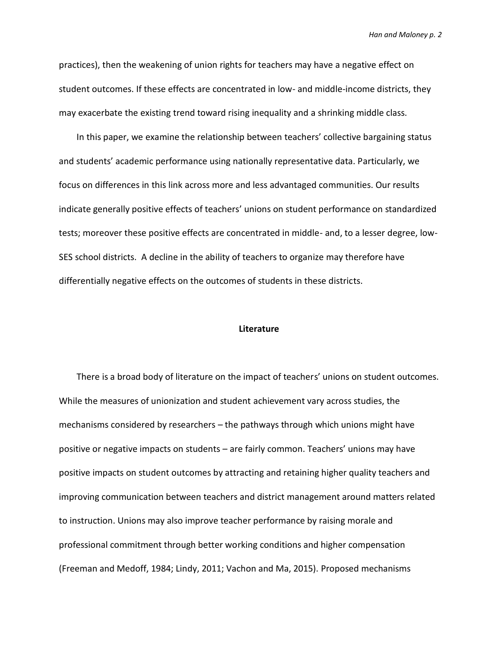practices), then the weakening of union rights for teachers may have a negative effect on student outcomes. If these effects are concentrated in low- and middle-income districts, they may exacerbate the existing trend toward rising inequality and a shrinking middle class.

In this paper, we examine the relationship between teachers' collective bargaining status and students' academic performance using nationally representative data. Particularly, we focus on differences in this link across more and less advantaged communities. Our results indicate generally positive effects of teachers' unions on student performance on standardized tests; moreover these positive effects are concentrated in middle- and, to a lesser degree, low-SES school districts. A decline in the ability of teachers to organize may therefore have differentially negative effects on the outcomes of students in these districts.

### **Literature**

There is a broad body of literature on the impact of teachers' unions on student outcomes. While the measures of unionization and student achievement vary across studies, the mechanisms considered by researchers – the pathways through which unions might have positive or negative impacts on students – are fairly common. Teachers' unions may have positive impacts on student outcomes by attracting and retaining higher quality teachers and improving communication between teachers and district management around matters related to instruction. Unions may also improve teacher performance by raising morale and professional commitment through better working conditions and higher compensation (Freeman and Medoff, 1984; Lindy, 2011; Vachon and Ma, 2015). Proposed mechanisms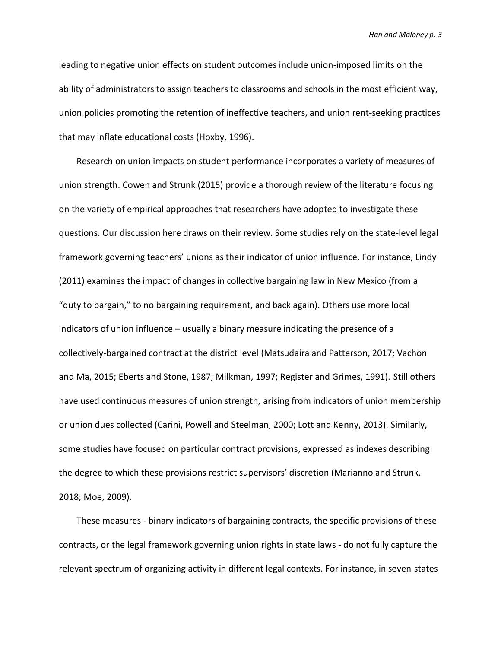leading to negative union effects on student outcomes include union-imposed limits on the ability of administrators to assign teachers to classrooms and schools in the most efficient way, union policies promoting the retention of ineffective teachers, and union rent-seeking practices that may inflate educational costs (Hoxby, 1996).

Research on union impacts on student performance incorporates a variety of measures of union strength. Cowen and Strunk (2015) provide a thorough review of the literature focusing on the variety of empirical approaches that researchers have adopted to investigate these questions. Our discussion here draws on their review. Some studies rely on the state-level legal framework governing teachers' unions as their indicator of union influence. For instance, Lindy (2011) examines the impact of changes in collective bargaining law in New Mexico (from a "duty to bargain," to no bargaining requirement, and back again). Others use more local indicators of union influence – usually a binary measure indicating the presence of a collectively-bargained contract at the district level (Matsudaira and Patterson, 2017; Vachon and Ma, 2015; Eberts and Stone, 1987; Milkman, 1997; Register and Grimes, 1991). Still others have used continuous measures of union strength, arising from indicators of union membership or union dues collected (Carini, Powell and Steelman, 2000; Lott and Kenny, 2013). Similarly, some studies have focused on particular contract provisions, expressed as indexes describing the degree to which these provisions restrict supervisors' discretion (Marianno and Strunk, 2018; Moe, 2009).

These measures - binary indicators of bargaining contracts, the specific provisions of these contracts, or the legal framework governing union rights in state laws - do not fully capture the relevant spectrum of organizing activity in different legal contexts. For instance, in seven states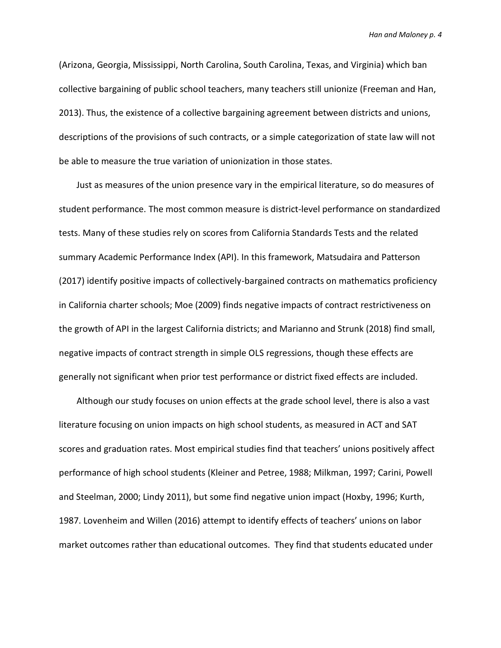(Arizona, Georgia, Mississippi, North Carolina, South Carolina, Texas, and Virginia) which ban collective bargaining of public school teachers, many teachers still unionize (Freeman and Han, 2013). Thus, the existence of a collective bargaining agreement between districts and unions, descriptions of the provisions of such contracts, or a simple categorization of state law will not be able to measure the true variation of unionization in those states.

Just as measures of the union presence vary in the empirical literature, so do measures of student performance. The most common measure is district-level performance on standardized tests. Many of these studies rely on scores from California Standards Tests and the related summary Academic Performance Index (API). In this framework, Matsudaira and Patterson (2017) identify positive impacts of collectively-bargained contracts on mathematics proficiency in California charter schools; Moe (2009) finds negative impacts of contract restrictiveness on the growth of API in the largest California districts; and Marianno and Strunk (2018) find small, negative impacts of contract strength in simple OLS regressions, though these effects are generally not significant when prior test performance or district fixed effects are included.

Although our study focuses on union effects at the grade school level, there is also a vast literature focusing on union impacts on high school students, as measured in ACT and SAT scores and graduation rates. Most empirical studies find that teachers' unions positively affect performance of high school students (Kleiner and Petree, 1988; Milkman, 1997; Carini, Powell and Steelman, 2000; Lindy 2011), but some find negative union impact (Hoxby, 1996; Kurth, 1987. Lovenheim and Willen (2016) attempt to identify effects of teachers' unions on labor market outcomes rather than educational outcomes. They find that students educated under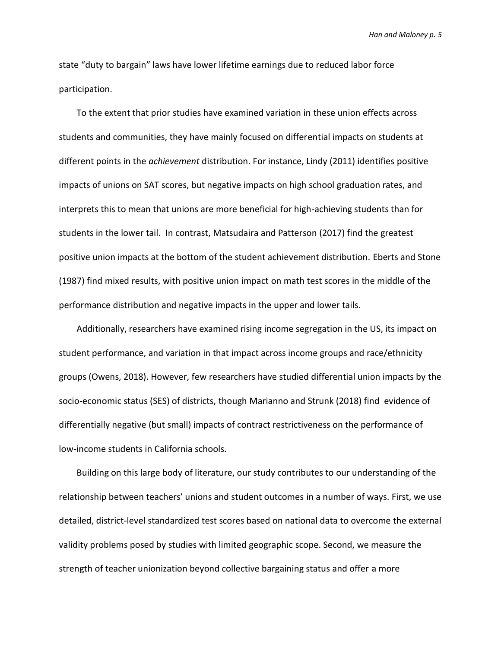state "duty to bargain" laws have lower lifetime earnings due to reduced labor force participation.

To the extent that prior studies have examined variation in these union effects across students and communities, they have mainly focused on differential impacts on students at different points in the *achievement* distribution. For instance, Lindy (2011) identifies positive impacts of unions on SAT scores, but negative impacts on high school graduation rates, and interprets this to mean that unions are more beneficial for high-achieving students than for students in the lower tail. In contrast, Matsudaira and Patterson (2017) find the greatest positive union impacts at the bottom of the student achievement distribution. Eberts and Stone (1987) find mixed results, with positive union impact on math test scores in the middle of the performance distribution and negative impacts in the upper and lower tails.

Additionally, researchers have examined rising income segregation in the US, its impact on student performance, and variation in that impact across income groups and race/ethnicity groups (Owens, 2018). However, few researchers have studied differential union impacts by the socio-economic status (SES) of districts, though Marianno and Strunk (2018) find evidence of differentially negative (but small) impacts of contract restrictiveness on the performance of low-income students in California schools.

Building on this large body of literature, our study contributes to our understanding of the relationship between teachers' unions and student outcomes in a number of ways. First, we use detailed, district-level standardized test scores based on national data to overcome the external validity problems posed by studies with limited geographic scope. Second, we measure the strength of teacher unionization beyond collective bargaining status and offer a more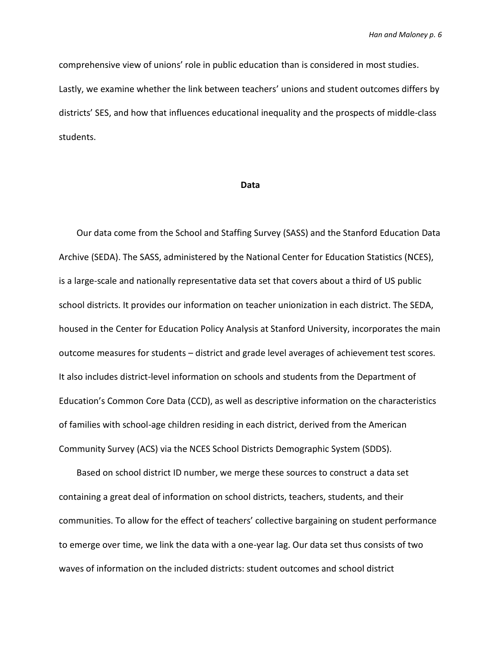comprehensive view of unions' role in public education than is considered in most studies. Lastly, we examine whether the link between teachers' unions and student outcomes differs by districts' SES, and how that influences educational inequality and the prospects of middle-class students.

#### **Data**

Our data come from the School and Staffing Survey (SASS) and the Stanford Education Data Archive (SEDA). The SASS, administered by the National Center for Education Statistics (NCES), is a large-scale and nationally representative data set that covers about a third of US public school districts. It provides our information on teacher unionization in each district. The SEDA, housed in the Center for Education Policy Analysis at Stanford University, incorporates the main outcome measures for students – district and grade level averages of achievement test scores. It also includes district-level information on schools and students from the Department of Education's Common Core Data (CCD), as well as descriptive information on the characteristics of families with school-age children residing in each district, derived from the American Community Survey (ACS) via the NCES School Districts Demographic System (SDDS).

Based on school district ID number, we merge these sources to construct a data set containing a great deal of information on school districts, teachers, students, and their communities. To allow for the effect of teachers' collective bargaining on student performance to emerge over time, we link the data with a one-year lag. Our data set thus consists of two waves of information on the included districts: student outcomes and school district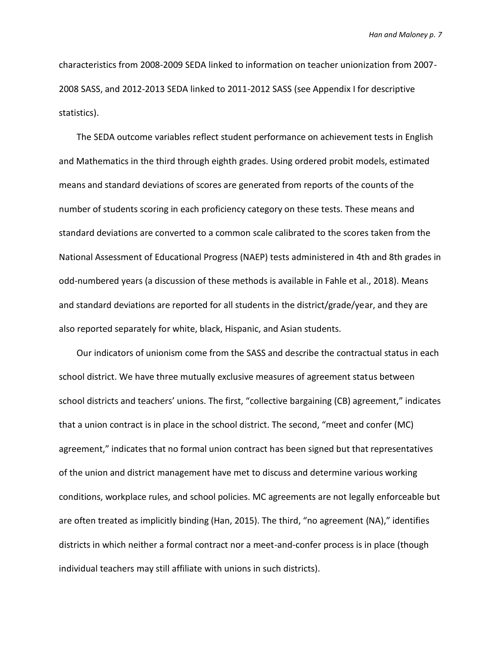characteristics from 2008-2009 SEDA linked to information on teacher unionization from 2007- 2008 SASS, and 2012-2013 SEDA linked to 2011-2012 SASS (see Appendix I for descriptive statistics).

The SEDA outcome variables reflect student performance on achievement tests in English and Mathematics in the third through eighth grades. Using ordered probit models, estimated means and standard deviations of scores are generated from reports of the counts of the number of students scoring in each proficiency category on these tests. These means and standard deviations are converted to a common scale calibrated to the scores taken from the National Assessment of Educational Progress (NAEP) tests administered in 4th and 8th grades in odd-numbered years (a discussion of these methods is available in Fahle et al., 2018). Means and standard deviations are reported for all students in the district/grade/year, and they are also reported separately for white, black, Hispanic, and Asian students.

Our indicators of unionism come from the SASS and describe the contractual status in each school district. We have three mutually exclusive measures of agreement status between school districts and teachers' unions. The first, "collective bargaining (CB) agreement," indicates that a union contract is in place in the school district. The second, "meet and confer (MC) agreement," indicates that no formal union contract has been signed but that representatives of the union and district management have met to discuss and determine various working conditions, workplace rules, and school policies. MC agreements are not legally enforceable but are often treated as implicitly binding (Han, 2015). The third, "no agreement (NA)," identifies districts in which neither a formal contract nor a meet-and-confer process is in place (though individual teachers may still affiliate with unions in such districts).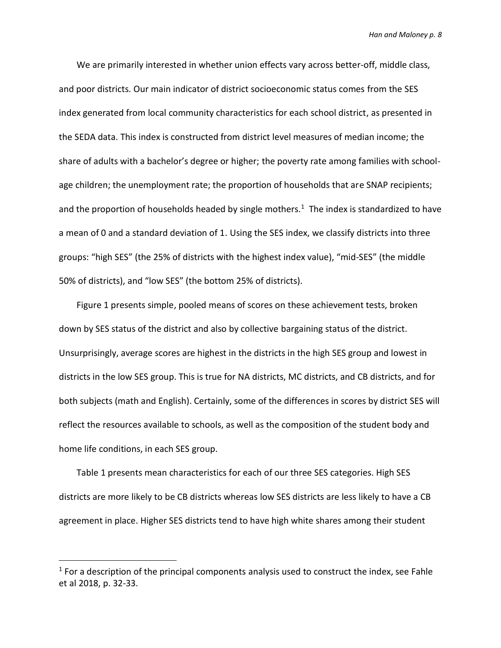We are primarily interested in whether union effects vary across better-off, middle class, and poor districts. Our main indicator of district socioeconomic status comes from the SES index generated from local community characteristics for each school district, as presented in the SEDA data. This index is constructed from district level measures of median income; the share of adults with a bachelor's degree or higher; the poverty rate among families with schoolage children; the unemployment rate; the proportion of households that are SNAP recipients; and the proportion of households headed by single mothers.<sup>1</sup> The index is standardized to have a mean of 0 and a standard deviation of 1. Using the SES index, we classify districts into three groups: "high SES" (the 25% of districts with the highest index value), "mid-SES" (the middle 50% of districts), and "low SES" (the bottom 25% of districts).

Figure 1 presents simple, pooled means of scores on these achievement tests, broken down by SES status of the district and also by collective bargaining status of the district. Unsurprisingly, average scores are highest in the districts in the high SES group and lowest in districts in the low SES group. This is true for NA districts, MC districts, and CB districts, and for both subjects (math and English). Certainly, some of the differences in scores by district SES will reflect the resources available to schools, as well as the composition of the student body and home life conditions, in each SES group.

Table 1 presents mean characteristics for each of our three SES categories. High SES districts are more likely to be CB districts whereas low SES districts are less likely to have a CB agreement in place. Higher SES districts tend to have high white shares among their student

 $\overline{a}$ 

 $1$  For a description of the principal components analysis used to construct the index, see Fahle et al 2018, p. 32-33.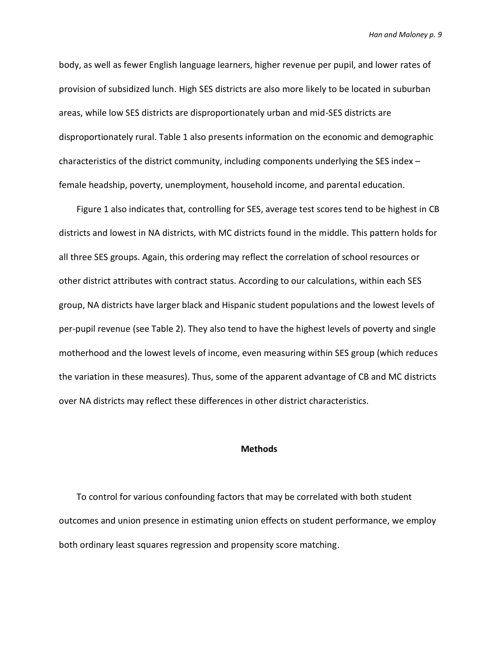body, as well as fewer English language learners, higher revenue per pupil, and lower rates of provision of subsidized lunch. High SES districts are also more likely to be located in suburban areas, while low SES districts are disproportionately urban and mid-SES districts are disproportionately rural. Table 1 also presents information on the economic and demographic characteristics of the district community, including components underlying the SES index – female headship, poverty, unemployment, household income, and parental education.

Figure 1 also indicates that, controlling for SES, average test scores tend to be highest in CB districts and lowest in NA districts, with MC districts found in the middle. This pattern holds for all three SES groups. Again, this ordering may reflect the correlation of school resources or other district attributes with contract status. According to our calculations, within each SES group, NA districts have larger black and Hispanic student populations and the lowest levels of per-pupil revenue (see Table 2). They also tend to have the highest levels of poverty and single motherhood and the lowest levels of income, even measuring within SES group (which reduces the variation in these measures). Thus, some of the apparent advantage of CB and MC districts over NA districts may reflect these differences in other district characteristics.

### **Methods**

To control for various confounding factors that may be correlated with both student outcomes and union presence in estimating union effects on student performance, we employ both ordinary least squares regression and propensity score matching.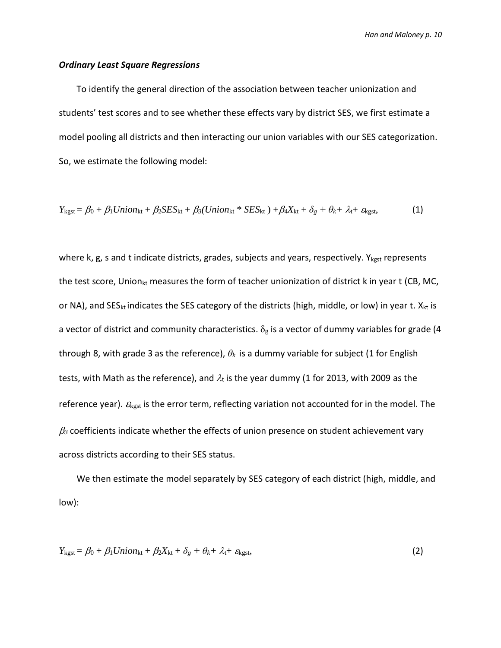### *Ordinary Least Square Regressions*

To identify the general direction of the association between teacher unionization and students' test scores and to see whether these effects vary by district SES, we first estimate a model pooling all districts and then interacting our union variables with our SES categorization. So, we estimate the following model:

$$
Y_{\text{kgst}} = \beta_0 + \beta_1 Union_{\text{kt}} + \beta_2SES_{\text{kt}} + \beta_3(Union_{\text{kt}} * SES_{\text{kt}}) + \beta_4X_{\text{kt}} + \delta_g + \theta_k + \lambda_t + \varepsilon_{\text{kgst}},
$$
 (1)

where k, g, s and t indicate districts, grades, subjects and years, respectively.  $Y_{kgst}$  represents the test score, Union<sub>kt</sub> measures the form of teacher unionization of district k in year t (CB, MC, or NA), and SES<sub>kt</sub> indicates the SES category of the districts (high, middle, or low) in year t. X<sub>kt</sub> is a vector of district and community characteristics.  $\delta_{\rm g}$  is a vector of dummy variables for grade (4 through 8, with grade 3 as the reference), *θ<sup>k</sup>* is a dummy variable for subject (1 for English tests, with Math as the reference), and  $\lambda_t$  is the year dummy (1 for 2013, with 2009 as the reference year).  $\mathcal{E}_{\text{kgst}}$  is the error term, reflecting variation not accounted for in the model. The  $\beta_3$  coefficients indicate whether the effects of union presence on student achievement vary across districts according to their SES status.

We then estimate the model separately by SES category of each district (high, middle, and low):

$$
Y_{\text{kgst}} = \beta_0 + \beta_1 Union_{\text{kt}} + \beta_2X_{\text{kt}} + \delta_g + \theta_k + \lambda_t + \varepsilon_{\text{kgst}},
$$
\n(2)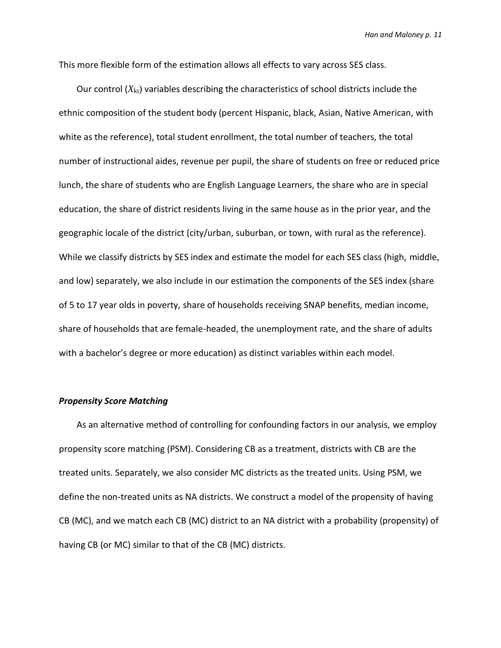This more flexible form of the estimation allows all effects to vary across SES class.

Our control  $(X_{kt})$  variables describing the characteristics of school districts include the ethnic composition of the student body (percent Hispanic, black, Asian, Native American, with white as the reference), total student enrollment, the total number of teachers, the total number of instructional aides, revenue per pupil, the share of students on free or reduced price lunch, the share of students who are English Language Learners, the share who are in special education, the share of district residents living in the same house as in the prior year, and the geographic locale of the district (city/urban, suburban, or town, with rural as the reference). While we classify districts by SES index and estimate the model for each SES class (high, middle, and low) separately, we also include in our estimation the components of the SES index (share of 5 to 17 year olds in poverty, share of households receiving SNAP benefits, median income, share of households that are female-headed, the unemployment rate, and the share of adults with a bachelor's degree or more education) as distinct variables within each model.

### *Propensity Score Matching*

As an alternative method of controlling for confounding factors in our analysis, we employ propensity score matching (PSM). Considering CB as a treatment, districts with CB are the treated units. Separately, we also consider MC districts as the treated units. Using PSM, we define the non-treated units as NA districts. We construct a model of the propensity of having CB (MC), and we match each CB (MC) district to an NA district with a probability (propensity) of having CB (or MC) similar to that of the CB (MC) districts.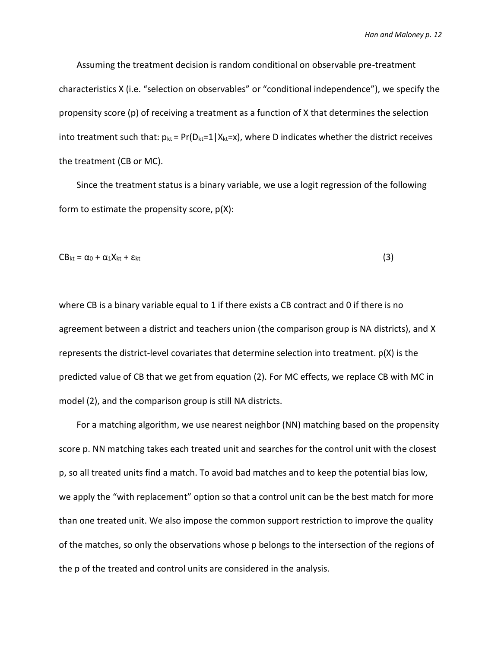Assuming the treatment decision is random conditional on observable pre-treatment characteristics X (i.e. "selection on observables" or "conditional independence"), we specify the propensity score (p) of receiving a treatment as a function of X that determines the selection into treatment such that:  $p_{kt} = Pr(D_{kt}=1|X_{kt}=x)$ , where D indicates whether the district receives the treatment (CB or MC).

Since the treatment status is a binary variable, we use a logit regression of the following form to estimate the propensity score, p(X):

$$
CB_{kt} = \alpha_0 + \alpha_1 X_{kt} + \varepsilon_{kt}
$$
 (3)

where CB is a binary variable equal to 1 if there exists a CB contract and 0 if there is no agreement between a district and teachers union (the comparison group is NA districts), and X represents the district-level covariates that determine selection into treatment. p(X) is the predicted value of CB that we get from equation (2). For MC effects, we replace CB with MC in model (2), and the comparison group is still NA districts.

For a matching algorithm, we use nearest neighbor (NN) matching based on the propensity score p. NN matching takes each treated unit and searches for the control unit with the closest p, so all treated units find a match. To avoid bad matches and to keep the potential bias low, we apply the "with replacement" option so that a control unit can be the best match for more than one treated unit. We also impose the common support restriction to improve the quality of the matches, so only the observations whose p belongs to the intersection of the regions of the p of the treated and control units are considered in the analysis.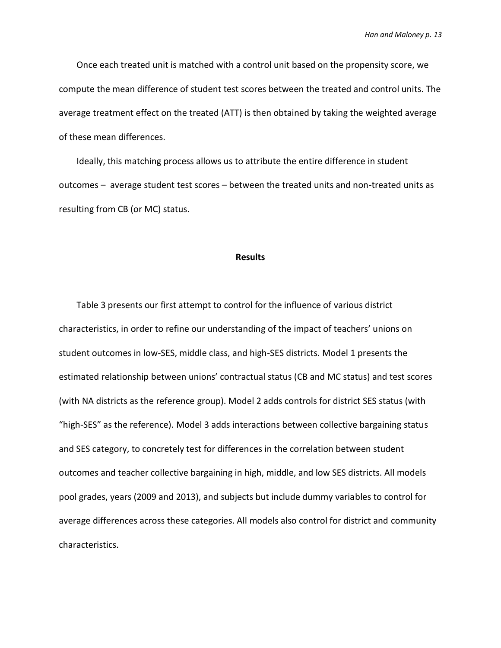Once each treated unit is matched with a control unit based on the propensity score, we compute the mean difference of student test scores between the treated and control units. The average treatment effect on the treated (ATT) is then obtained by taking the weighted average of these mean differences.

Ideally, this matching process allows us to attribute the entire difference in student outcomes – average student test scores – between the treated units and non-treated units as resulting from CB (or MC) status.

#### **Results**

Table 3 presents our first attempt to control for the influence of various district characteristics, in order to refine our understanding of the impact of teachers' unions on student outcomes in low-SES, middle class, and high-SES districts. Model 1 presents the estimated relationship between unions' contractual status (CB and MC status) and test scores (with NA districts as the reference group). Model 2 adds controls for district SES status (with "high-SES" as the reference). Model 3 adds interactions between collective bargaining status and SES category, to concretely test for differences in the correlation between student outcomes and teacher collective bargaining in high, middle, and low SES districts. All models pool grades, years (2009 and 2013), and subjects but include dummy variables to control for average differences across these categories. All models also control for district and community characteristics.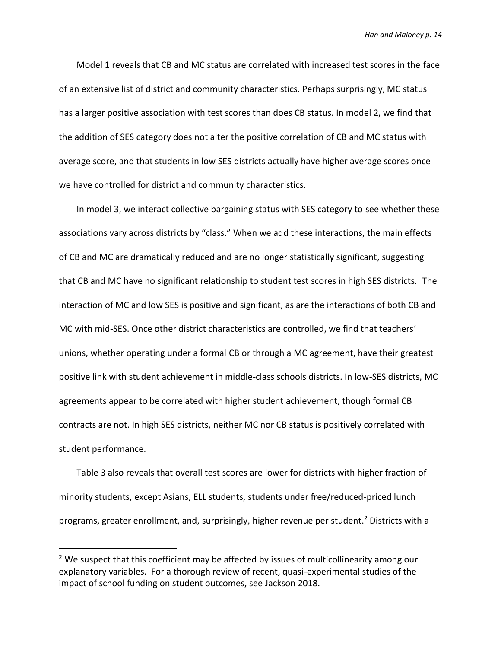Model 1 reveals that CB and MC status are correlated with increased test scores in the face of an extensive list of district and community characteristics. Perhaps surprisingly, MC status has a larger positive association with test scores than does CB status. In model 2, we find that the addition of SES category does not alter the positive correlation of CB and MC status with average score, and that students in low SES districts actually have higher average scores once we have controlled for district and community characteristics.

In model 3, we interact collective bargaining status with SES category to see whether these associations vary across districts by "class." When we add these interactions, the main effects of CB and MC are dramatically reduced and are no longer statistically significant, suggesting that CB and MC have no significant relationship to student test scores in high SES districts. The interaction of MC and low SES is positive and significant, as are the interactions of both CB and MC with mid-SES. Once other district characteristics are controlled, we find that teachers' unions, whether operating under a formal CB or through a MC agreement, have their greatest positive link with student achievement in middle-class schools districts. In low-SES districts, MC agreements appear to be correlated with higher student achievement, though formal CB contracts are not. In high SES districts, neither MC nor CB status is positively correlated with student performance.

Table 3 also reveals that overall test scores are lower for districts with higher fraction of minority students, except Asians, ELL students, students under free/reduced-priced lunch programs, greater enrollment, and, surprisingly, higher revenue per student.<sup>2</sup> Districts with a

 $\overline{a}$ 

<sup>&</sup>lt;sup>2</sup> We suspect that this coefficient may be affected by issues of multicollinearity among our explanatory variables. For a thorough review of recent, quasi-experimental studies of the impact of school funding on student outcomes, see Jackson 2018.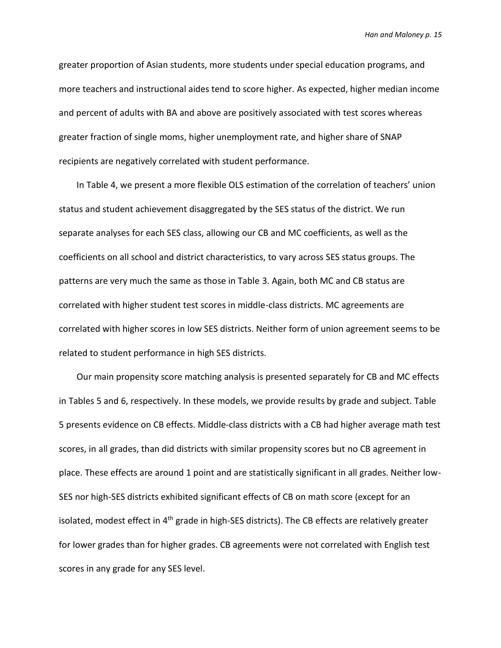greater proportion of Asian students, more students under special education programs, and more teachers and instructional aides tend to score higher. As expected, higher median income and percent of adults with BA and above are positively associated with test scores whereas greater fraction of single moms, higher unemployment rate, and higher share of SNAP recipients are negatively correlated with student performance.

In Table 4, we present a more flexible OLS estimation of the correlation of teachers' union status and student achievement disaggregated by the SES status of the district. We run separate analyses for each SES class, allowing our CB and MC coefficients, as well as the coefficients on all school and district characteristics, to vary across SES status groups. The patterns are very much the same as those in Table 3. Again, both MC and CB status are correlated with higher student test scores in middle-class districts. MC agreements are correlated with higher scores in low SES districts. Neither form of union agreement seems to be related to student performance in high SES districts.

Our main propensity score matching analysis is presented separately for CB and MC effects in Tables 5 and 6, respectively. In these models, we provide results by grade and subject. Table 5 presents evidence on CB effects. Middle-class districts with a CB had higher average math test scores, in all grades, than did districts with similar propensity scores but no CB agreement in place. These effects are around 1 point and are statistically significant in all grades. Neither low-SES nor high-SES districts exhibited significant effects of CB on math score (except for an isolated, modest effect in 4<sup>th</sup> grade in high-SES districts). The CB effects are relatively greater for lower grades than for higher grades. CB agreements were not correlated with English test scores in any grade for any SES level.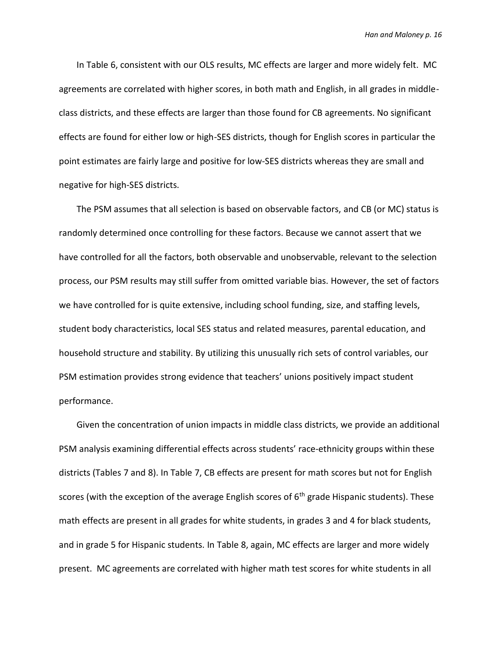In Table 6, consistent with our OLS results, MC effects are larger and more widely felt. MC agreements are correlated with higher scores, in both math and English, in all grades in middleclass districts, and these effects are larger than those found for CB agreements. No significant effects are found for either low or high-SES districts, though for English scores in particular the point estimates are fairly large and positive for low-SES districts whereas they are small and negative for high-SES districts.

The PSM assumes that all selection is based on observable factors, and CB (or MC) status is randomly determined once controlling for these factors. Because we cannot assert that we have controlled for all the factors, both observable and unobservable, relevant to the selection process, our PSM results may still suffer from omitted variable bias. However, the set of factors we have controlled for is quite extensive, including school funding, size, and staffing levels, student body characteristics, local SES status and related measures, parental education, and household structure and stability. By utilizing this unusually rich sets of control variables, our PSM estimation provides strong evidence that teachers' unions positively impact student performance.

Given the concentration of union impacts in middle class districts, we provide an additional PSM analysis examining differential effects across students' race-ethnicity groups within these districts (Tables 7 and 8). In Table 7, CB effects are present for math scores but not for English scores (with the exception of the average English scores of  $6<sup>th</sup>$  grade Hispanic students). These math effects are present in all grades for white students, in grades 3 and 4 for black students, and in grade 5 for Hispanic students. In Table 8, again, MC effects are larger and more widely present. MC agreements are correlated with higher math test scores for white students in all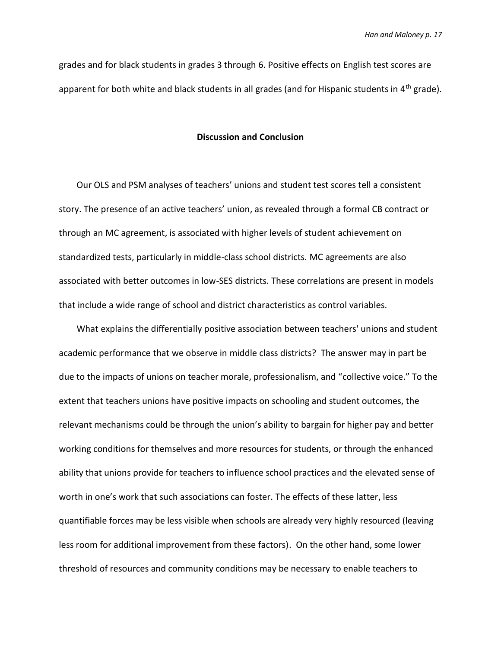grades and for black students in grades 3 through 6. Positive effects on English test scores are apparent for both white and black students in all grades (and for Hispanic students in  $4<sup>th</sup>$  grade).

### **Discussion and Conclusion**

Our OLS and PSM analyses of teachers' unions and student test scores tell a consistent story. The presence of an active teachers' union, as revealed through a formal CB contract or through an MC agreement, is associated with higher levels of student achievement on standardized tests, particularly in middle-class school districts. MC agreements are also associated with better outcomes in low-SES districts. These correlations are present in models that include a wide range of school and district characteristics as control variables.

What explains the differentially positive association between teachers' unions and student academic performance that we observe in middle class districts? The answer may in part be due to the impacts of unions on teacher morale, professionalism, and "collective voice." To the extent that teachers unions have positive impacts on schooling and student outcomes, the relevant mechanisms could be through the union's ability to bargain for higher pay and better working conditions for themselves and more resources for students, or through the enhanced ability that unions provide for teachers to influence school practices and the elevated sense of worth in one's work that such associations can foster. The effects of these latter, less quantifiable forces may be less visible when schools are already very highly resourced (leaving less room for additional improvement from these factors). On the other hand, some lower threshold of resources and community conditions may be necessary to enable teachers to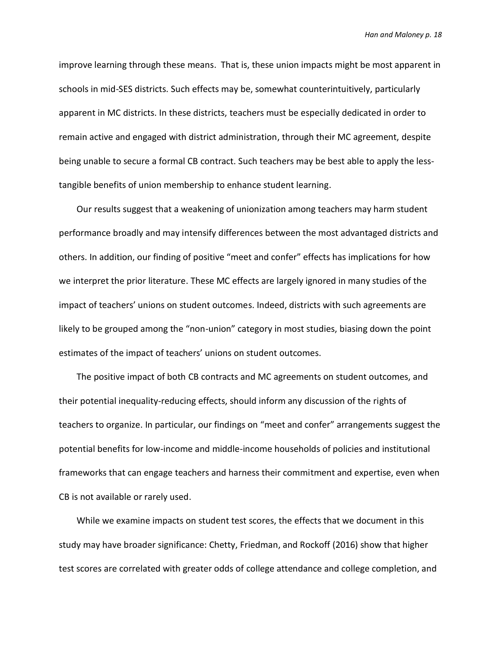improve learning through these means. That is, these union impacts might be most apparent in schools in mid-SES districts. Such effects may be, somewhat counterintuitively, particularly apparent in MC districts. In these districts, teachers must be especially dedicated in order to remain active and engaged with district administration, through their MC agreement, despite being unable to secure a formal CB contract. Such teachers may be best able to apply the lesstangible benefits of union membership to enhance student learning.

Our results suggest that a weakening of unionization among teachers may harm student performance broadly and may intensify differences between the most advantaged districts and others. In addition, our finding of positive "meet and confer" effects has implications for how we interpret the prior literature. These MC effects are largely ignored in many studies of the impact of teachers' unions on student outcomes. Indeed, districts with such agreements are likely to be grouped among the "non-union" category in most studies, biasing down the point estimates of the impact of teachers' unions on student outcomes.

The positive impact of both CB contracts and MC agreements on student outcomes, and their potential inequality-reducing effects, should inform any discussion of the rights of teachers to organize. In particular, our findings on "meet and confer" arrangements suggest the potential benefits for low-income and middle-income households of policies and institutional frameworks that can engage teachers and harness their commitment and expertise, even when CB is not available or rarely used.

While we examine impacts on student test scores, the effects that we document in this study may have broader significance: Chetty, Friedman, and Rockoff (2016) show that higher test scores are correlated with greater odds of college attendance and college completion, and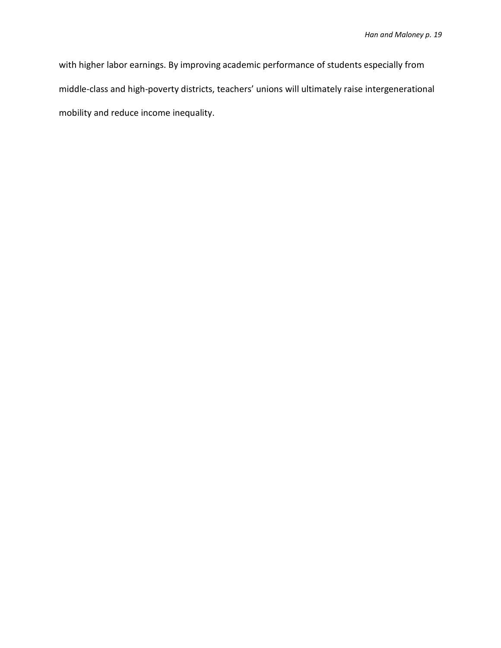with higher labor earnings. By improving academic performance of students especially from middle-class and high-poverty districts, teachers' unions will ultimately raise intergenerational mobility and reduce income inequality.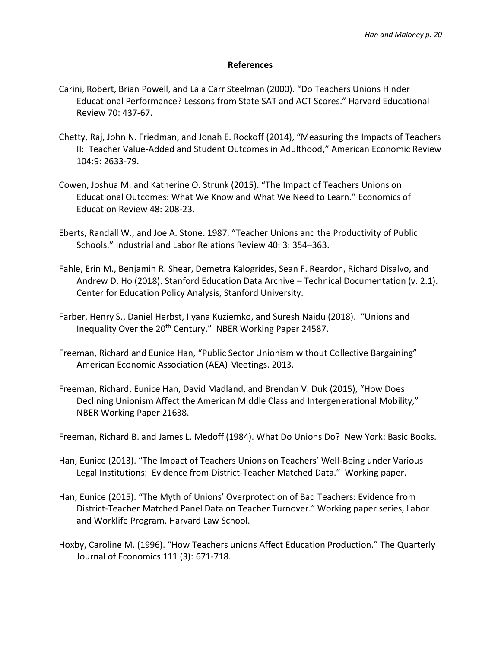### **References**

- Carini, Robert, Brian Powell, and Lala Carr Steelman (2000). "Do Teachers Unions Hinder Educational Performance? Lessons from State SAT and ACT Scores." Harvard Educational Review 70: 437-67.
- Chetty, Raj, John N. Friedman, and Jonah E. Rockoff (2014), "Measuring the Impacts of Teachers II: Teacher Value-Added and Student Outcomes in Adulthood," American Economic Review 104:9: 2633-79.
- Cowen, Joshua M. and Katherine O. Strunk (2015). "The Impact of Teachers Unions on Educational Outcomes: What We Know and What We Need to Learn." Economics of Education Review 48: 208-23.
- Eberts, Randall W., and Joe A. Stone. 1987. "Teacher Unions and the Productivity of Public Schools." Industrial and Labor Relations Review 40: 3: 354–363.
- Fahle, Erin M., Benjamin R. Shear, Demetra Kalogrides, Sean F. Reardon, Richard Disalvo, and Andrew D. Ho (2018). Stanford Education Data Archive – Technical Documentation (v. 2.1). Center for Education Policy Analysis, Stanford University.
- Farber, Henry S., Daniel Herbst, Ilyana Kuziemko, and Suresh Naidu (2018). "Unions and Inequality Over the 20<sup>th</sup> Century." NBER Working Paper 24587.
- Freeman, Richard and Eunice Han, "Public Sector Unionism without Collective Bargaining" American Economic Association (AEA) Meetings. 2013.
- Freeman, Richard, Eunice Han, David Madland, and Brendan V. Duk (2015), "How Does Declining Unionism Affect the American Middle Class and Intergenerational Mobility," NBER Working Paper 21638.
- Freeman, Richard B. and James L. Medoff (1984). What Do Unions Do? New York: Basic Books.
- Han, Eunice (2013). "The Impact of Teachers Unions on Teachers' Well-Being under Various Legal Institutions: Evidence from District-Teacher Matched Data." Working paper.
- Han, Eunice (2015). "The Myth of Unions' Overprotection of Bad Teachers: Evidence from District-Teacher Matched Panel Data on Teacher Turnover." Working paper series, Labor and Worklife Program, Harvard Law School.
- Hoxby, Caroline M. (1996). "How Teachers unions Affect Education Production." The Quarterly Journal of Economics 111 (3): 671-718.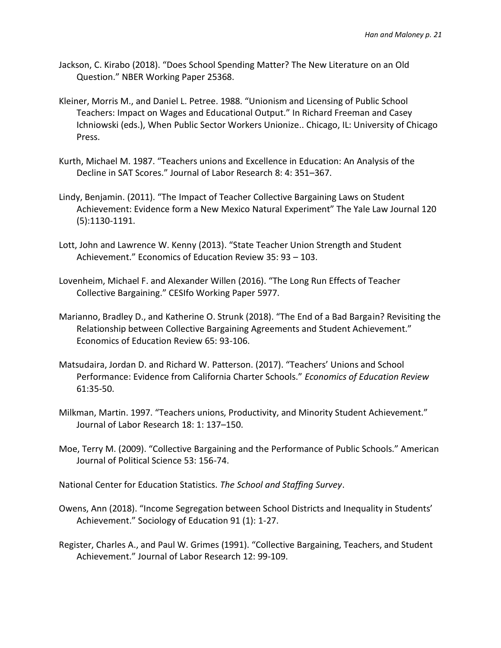- Jackson, C. Kirabo (2018). "Does School Spending Matter? The New Literature on an Old Question." NBER Working Paper 25368.
- Kleiner, Morris M., and Daniel L. Petree. 1988. "Unionism and Licensing of Public School Teachers: Impact on Wages and Educational Output." In Richard Freeman and Casey Ichniowski (eds.), When Public Sector Workers Unionize.. Chicago, IL: University of Chicago Press.
- Kurth, Michael M. 1987. "Teachers unions and Excellence in Education: An Analysis of the Decline in SAT Scores." Journal of Labor Research 8: 4: 351–367.
- Lindy, Benjamin. (2011). "The Impact of Teacher Collective Bargaining Laws on Student Achievement: Evidence form a New Mexico Natural Experiment" The Yale Law Journal 120 (5):1130-1191.
- Lott, John and Lawrence W. Kenny (2013). "State Teacher Union Strength and Student Achievement." Economics of Education Review 35: 93 – 103.
- Lovenheim, Michael F. and Alexander Willen (2016). "The Long Run Effects of Teacher Collective Bargaining." CESIfo Working Paper 5977.
- Marianno, Bradley D., and Katherine O. Strunk (2018). "The End of a Bad Bargain? Revisiting the Relationship between Collective Bargaining Agreements and Student Achievement." Economics of Education Review 65: 93-106.
- Matsudaira, Jordan D. and Richard W. Patterson. (2017). "Teachers' Unions and School Performance: Evidence from California Charter Schools." *Economics of Education Review*  61:35-50.
- Milkman, Martin. 1997. "Teachers unions, Productivity, and Minority Student Achievement." Journal of Labor Research 18: 1: 137–150.
- Moe, Terry M. (2009). "Collective Bargaining and the Performance of Public Schools." American Journal of Political Science 53: 156-74.

National Center for Education Statistics. *The School and Staffing Survey*.

- Owens, Ann (2018). "Income Segregation between School Districts and Inequality in Students' Achievement." Sociology of Education 91 (1): 1-27.
- Register, Charles A., and Paul W. Grimes (1991). "Collective Bargaining, Teachers, and Student Achievement." Journal of Labor Research 12: 99-109.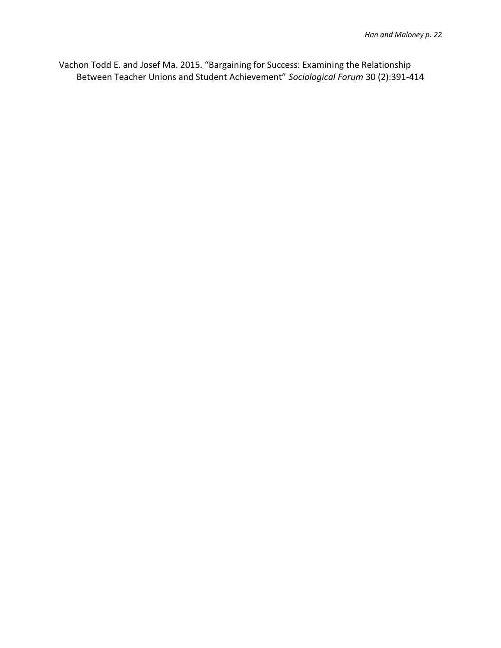Vachon Todd E. and Josef Ma. 2015. "Bargaining for Success: Examining the Relationship Between Teacher Unions and Student Achievement" *Sociological Forum* 30 (2):391-414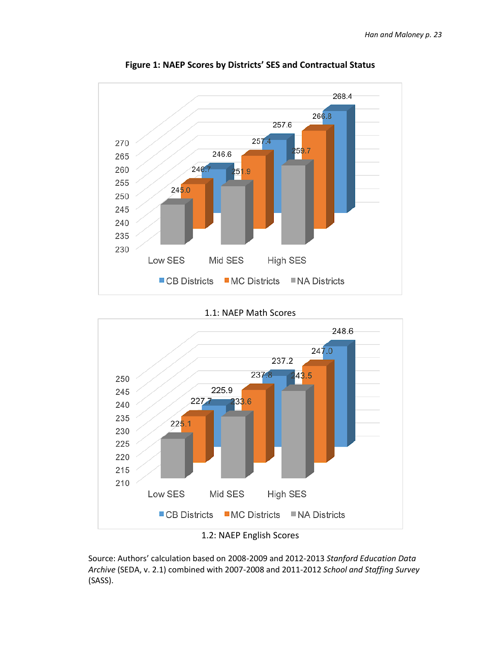

**Figure 1: NAEP Scores by Districts' SES and Contractual Status**

1.1: NAEP Math Scores



<sup>1.2:</sup> NAEP English Scores

Source: Authors' calculation based on 2008-2009 and 2012-2013 *Stanford Education Data Archive* (SEDA, v. 2.1) combined with 2007-2008 and 2011-2012 *School and Staffing Survey*  (SASS).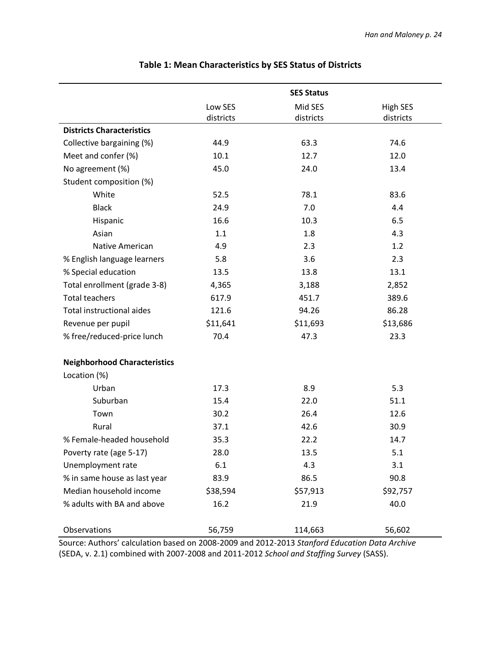|                                     |           | <b>SES Status</b> |                 |
|-------------------------------------|-----------|-------------------|-----------------|
|                                     | Low SES   | Mid SES           | <b>High SES</b> |
|                                     | districts | districts         | districts       |
| <b>Districts Characteristics</b>    |           |                   |                 |
| Collective bargaining (%)           | 44.9      | 63.3              | 74.6            |
| Meet and confer (%)                 | 10.1      | 12.7              | 12.0            |
| No agreement (%)                    | 45.0      | 24.0              | 13.4            |
| Student composition (%)             |           |                   |                 |
| White                               | 52.5      | 78.1              | 83.6            |
| <b>Black</b>                        | 24.9      | 7.0               | 4.4             |
| Hispanic                            | 16.6      | 10.3              | 6.5             |
| Asian                               | 1.1       | 1.8               | 4.3             |
| Native American                     | 4.9       | 2.3               | 1.2             |
| % English language learners         | 5.8       | 3.6               | 2.3             |
| % Special education                 | 13.5      | 13.8              | 13.1            |
| Total enrollment (grade 3-8)        | 4,365     | 3,188             | 2,852           |
| <b>Total teachers</b>               | 617.9     | 451.7             | 389.6           |
| <b>Total instructional aides</b>    | 121.6     | 94.26             | 86.28           |
| Revenue per pupil                   | \$11,641  | \$11,693          | \$13,686        |
| % free/reduced-price lunch          | 70.4      | 47.3              | 23.3            |
| <b>Neighborhood Characteristics</b> |           |                   |                 |
| Location (%)                        |           |                   |                 |
| Urban                               | 17.3      | 8.9               | 5.3             |
| Suburban                            | 15.4      | 22.0              | 51.1            |
| Town                                | 30.2      | 26.4              | 12.6            |
| Rural                               | 37.1      | 42.6              | 30.9            |
| % Female-headed household           | 35.3      | 22.2              | 14.7            |
| Poverty rate (age 5-17)             | 28.0      | 13.5              | 5.1             |
| Unemployment rate                   | 6.1       | 4.3               | 3.1             |
| % in same house as last year        | 83.9      | 86.5              | 90.8            |
| Median household income             | \$38,594  | \$57,913          | \$92,757        |
| % adults with BA and above          | 16.2      | 21.9              | 40.0            |
|                                     |           |                   |                 |
| Observations                        | 56,759    | 114,663           | 56,602          |

## **Table 1: Mean Characteristics by SES Status of Districts**

Source: Authors' calculation based on 2008-2009 and 2012-2013 *Stanford Education Data Archive* (SEDA, v. 2.1) combined with 2007-2008 and 2011-2012 *School and Staffing Survey* (SASS).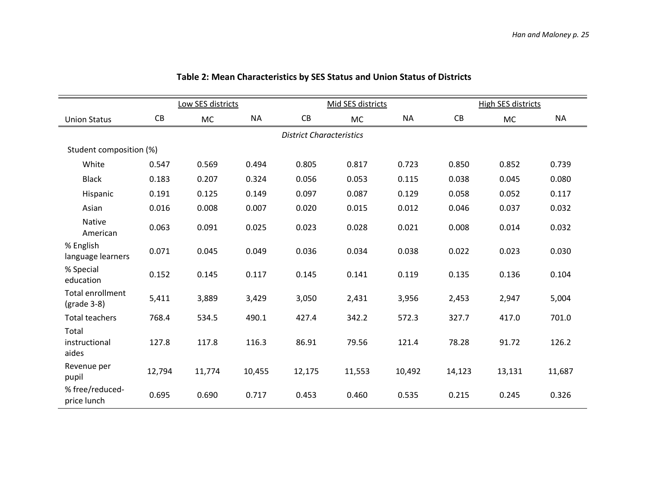|                                          |                                 | Low SES districts |           |        | Mid SES districts |           |        | <b>High SES districts</b> |           |
|------------------------------------------|---------------------------------|-------------------|-----------|--------|-------------------|-----------|--------|---------------------------|-----------|
| <b>Union Status</b>                      | CB                              | <b>MC</b>         | <b>NA</b> | CB     | <b>MC</b>         | <b>NA</b> | CB     | <b>MC</b>                 | <b>NA</b> |
|                                          | <b>District Characteristics</b> |                   |           |        |                   |           |        |                           |           |
| Student composition (%)                  |                                 |                   |           |        |                   |           |        |                           |           |
| White                                    | 0.547                           | 0.569             | 0.494     | 0.805  | 0.817             | 0.723     | 0.850  | 0.852                     | 0.739     |
| <b>Black</b>                             | 0.183                           | 0.207             | 0.324     | 0.056  | 0.053             | 0.115     | 0.038  | 0.045                     | 0.080     |
| Hispanic                                 | 0.191                           | 0.125             | 0.149     | 0.097  | 0.087             | 0.129     | 0.058  | 0.052                     | 0.117     |
| Asian                                    | 0.016                           | 0.008             | 0.007     | 0.020  | 0.015             | 0.012     | 0.046  | 0.037                     | 0.032     |
| Native<br>American                       | 0.063                           | 0.091             | 0.025     | 0.023  | 0.028             | 0.021     | 0.008  | 0.014                     | 0.032     |
| % English<br>language learners           | 0.071                           | 0.045             | 0.049     | 0.036  | 0.034             | 0.038     | 0.022  | 0.023                     | 0.030     |
| % Special<br>education                   | 0.152                           | 0.145             | 0.117     | 0.145  | 0.141             | 0.119     | 0.135  | 0.136                     | 0.104     |
| <b>Total enrollment</b><br>$(grade 3-8)$ | 5,411                           | 3,889             | 3,429     | 3,050  | 2,431             | 3,956     | 2,453  | 2,947                     | 5,004     |
| <b>Total teachers</b>                    | 768.4                           | 534.5             | 490.1     | 427.4  | 342.2             | 572.3     | 327.7  | 417.0                     | 701.0     |
| Total<br>instructional<br>aides          | 127.8                           | 117.8             | 116.3     | 86.91  | 79.56             | 121.4     | 78.28  | 91.72                     | 126.2     |
| Revenue per<br>pupil                     | 12,794                          | 11,774            | 10,455    | 12,175 | 11,553            | 10,492    | 14,123 | 13,131                    | 11,687    |
| % free/reduced-<br>price lunch           | 0.695                           | 0.690             | 0.717     | 0.453  | 0.460             | 0.535     | 0.215  | 0.245                     | 0.326     |

**Table 2: Mean Characteristics by SES Status and Union Status of Districts**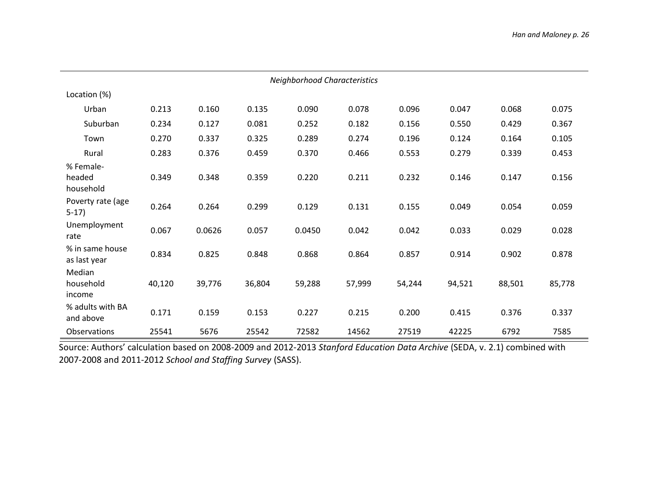| <b>Neighborhood Characteristics</b> |        |        |        |        |        |        |        |        |        |
|-------------------------------------|--------|--------|--------|--------|--------|--------|--------|--------|--------|
| Location (%)                        |        |        |        |        |        |        |        |        |        |
| Urban                               | 0.213  | 0.160  | 0.135  | 0.090  | 0.078  | 0.096  | 0.047  | 0.068  | 0.075  |
| Suburban                            | 0.234  | 0.127  | 0.081  | 0.252  | 0.182  | 0.156  | 0.550  | 0.429  | 0.367  |
| Town                                | 0.270  | 0.337  | 0.325  | 0.289  | 0.274  | 0.196  | 0.124  | 0.164  | 0.105  |
| Rural                               | 0.283  | 0.376  | 0.459  | 0.370  | 0.466  | 0.553  | 0.279  | 0.339  | 0.453  |
| % Female-<br>headed<br>household    | 0.349  | 0.348  | 0.359  | 0.220  | 0.211  | 0.232  | 0.146  | 0.147  | 0.156  |
| Poverty rate (age<br>$5-17)$        | 0.264  | 0.264  | 0.299  | 0.129  | 0.131  | 0.155  | 0.049  | 0.054  | 0.059  |
| Unemployment<br>rate                | 0.067  | 0.0626 | 0.057  | 0.0450 | 0.042  | 0.042  | 0.033  | 0.029  | 0.028  |
| % in same house<br>as last year     | 0.834  | 0.825  | 0.848  | 0.868  | 0.864  | 0.857  | 0.914  | 0.902  | 0.878  |
| Median<br>household<br>income       | 40,120 | 39,776 | 36,804 | 59,288 | 57,999 | 54,244 | 94,521 | 88,501 | 85,778 |
| % adults with BA<br>and above       | 0.171  | 0.159  | 0.153  | 0.227  | 0.215  | 0.200  | 0.415  | 0.376  | 0.337  |
| Observations                        | 25541  | 5676   | 25542  | 72582  | 14562  | 27519  | 42225  | 6792   | 7585   |

Source: Authors' calculation based on 2008-2009 and 2012-2013 *Stanford Education Data Archive* (SEDA, v. 2.1) combined with 2007-2008 and 2011-2012 *School and Staffing Survey* (SASS).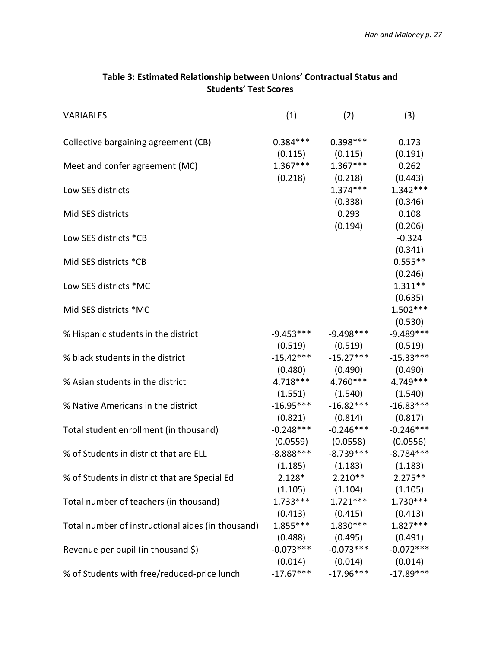| <b>VARIABLES</b>                                  | (1)         | (2)                              | (3)         |
|---------------------------------------------------|-------------|----------------------------------|-------------|
|                                                   |             |                                  |             |
| Collective bargaining agreement (CB)              | $0.384***$  | $0.398***$                       | 0.173       |
|                                                   | (0.115)     | (0.115)                          | (0.191)     |
| Meet and confer agreement (MC)                    | $1.367***$  | $1.367***$                       | 0.262       |
|                                                   | (0.218)     | (0.218)                          | (0.443)     |
| Low SES districts                                 |             | $1.374***$                       | $1.342***$  |
|                                                   |             | (0.338)                          | (0.346)     |
| Mid SES districts                                 |             | 0.293                            | 0.108       |
|                                                   |             | (0.194)                          | (0.206)     |
| Low SES districts *CB                             |             |                                  | $-0.324$    |
|                                                   |             |                                  | (0.341)     |
| Mid SES districts *CB                             |             |                                  | $0.555***$  |
|                                                   |             |                                  | (0.246)     |
| Low SES districts *MC                             |             |                                  | $1.311**$   |
|                                                   |             |                                  | (0.635)     |
| Mid SES districts *MC                             |             |                                  | $1.502***$  |
|                                                   |             |                                  | (0.530)     |
| % Hispanic students in the district               | -9.453***   | $-9.498***$                      | $-9.489***$ |
|                                                   | (0.519)     | (0.519)                          | (0.519)     |
| % black students in the district                  | $-15.42***$ | $-15.27***$                      | $-15.33***$ |
|                                                   | (0.480)     | (0.490)                          | (0.490)     |
| % Asian students in the district                  | $4.718***$  | $4.760***$                       | 4.749 ***   |
|                                                   | (1.551)     | (1.540)                          | (1.540)     |
| % Native Americans in the district                | $-16.95***$ | $-16.82***$                      | $-16.83***$ |
|                                                   | (0.821)     | (0.814)                          | (0.817)     |
| Total student enrollment (in thousand)            | $-0.248***$ | $-0.246***$                      | $-0.246***$ |
|                                                   | (0.0559)    | (0.0558)                         | (0.0556)    |
| % of Students in district that are ELL            | $-8.888***$ | $-8.739***$                      | $-8.784***$ |
|                                                   | (1.185)     | (1.183)                          | (1.183)     |
| % of Students in district that are Special Ed     | $2.128*$    | $2.210**$                        | $2.275**$   |
|                                                   |             | $(1.105)$ $(1.104)$ $(1.105)$    |             |
| Total number of teachers (in thousand)            |             | $1.733***$ $1.721***$ $1.730***$ |             |
|                                                   |             | $(0.413)$ $(0.415)$ $(0.413)$    |             |
| Total number of instructional aides (in thousand) |             | $1.855***$ $1.830***$            | $1.827***$  |
|                                                   |             | $(0.488)$ $(0.495)$ $(0.491)$    |             |
| Revenue per pupil (in thousand \$)                |             | $-0.073***$ $-0.073***$          | $-0.072***$ |
|                                                   |             | $(0.014)$ $(0.014)$              | (0.014)     |
| % of Students with free/reduced-price lunch       |             | $-17.67***$ $-17.96***$          | $-17.89***$ |

### **Table 3: Estimated Relationship between Unions' Contractual Status and Students' Test Scores**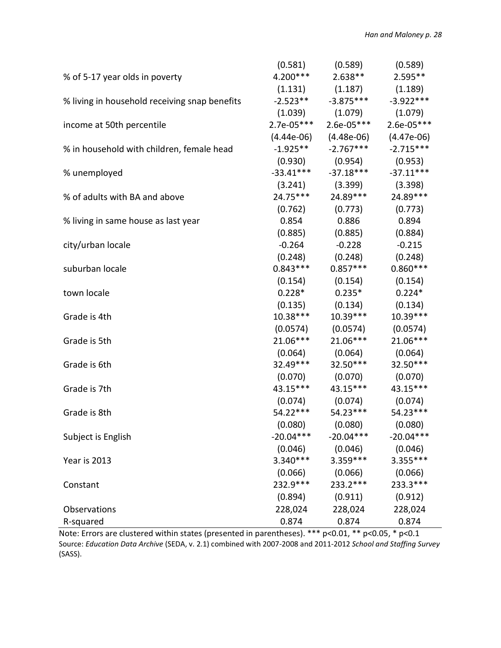|                                               | (0.581)     | (0.589)                       | (0.589)      |
|-----------------------------------------------|-------------|-------------------------------|--------------|
| % of 5-17 year olds in poverty                | $4.200***$  | $2.638**$                     | $2.595**$    |
|                                               |             | $(1.131)$ $(1.187)$ $(1.189)$ |              |
| % living in household receiving snap benefits | $-2.523**$  | $-3.875***$                   | $-3.922***$  |
|                                               | (1.039)     | (1.079)                       | (1.079)      |
| income at 50th percentile                     | 2.7e-05***  | $2.6e-05***$                  | $2.6e-05***$ |
|                                               |             | $(4.44e-06)$ $(4.48e-06)$     | $(4.47e-06)$ |
| % in household with children, female head     | $-1.925**$  | $-2.767***$                   | $-2.715***$  |
|                                               |             | $(0.930)$ $(0.954)$           | (0.953)      |
| % unemployed                                  | $-33.41***$ | $-37.18***$                   | $-37.11***$  |
|                                               |             | $(3.241)$ $(3.399)$           | (3.398)      |
| % of adults with BA and above                 | 24.75***    | 24.89***                      | 24.89***     |
|                                               |             | $(0.762)$ $(0.773)$           | (0.773)      |
| % living in same house as last year           | 0.854       | 0.886                         | 0.894        |
|                                               | (0.885)     | (0.885)                       | (0.884)      |
| city/urban locale                             | $-0.264$    | $-0.228$                      | $-0.215$     |
|                                               | (0.248)     | (0.248)                       | (0.248)      |
| suburban locale                               | $0.843***$  | $0.857***$                    | $0.860***$   |
|                                               |             | $(0.154)$ $(0.154)$           | (0.154)      |
| town locale                                   | $0.228*$    | $0.235*$                      | $0.224*$     |
|                                               |             | $(0.135)$ $(0.134)$           | (0.134)      |
| Grade is 4th                                  | $10.38***$  | $10.39***$                    | $10.39***$   |
|                                               | (0.0574)    | (0.0574)                      | (0.0574)     |
| Grade is 5th                                  | 21.06***    | 21.06***                      | 21.06***     |
|                                               | (0.064)     | (0.064)                       | (0.064)      |
| Grade is 6th                                  | 32.49***    | 32.50***                      | 32.50***     |
|                                               | (0.070)     | (0.070)                       | (0.070)      |
| Grade is 7th                                  | 43.15***    | 43.15***                      | 43.15***     |
|                                               | (0.074)     | (0.074)                       | (0.074)      |
| Grade is 8th                                  | 54.22***    | 54.23***                      | 54.23***     |
|                                               | (0.080)     | (0.080)                       | (0.080)      |
| Subject is English                            | $-20.04***$ | $-20.04***$                   | $-20.04***$  |
|                                               | (0.046)     | (0.046)                       | (0.046)      |
| Year is 2013                                  | $3.340***$  | 3.359 ***                     | 3.355***     |
|                                               | (0.066)     | (0.066)                       | (0.066)      |
| Constant                                      | 232.9 ***   | 233.2 ***                     | 233.3***     |
|                                               | (0.894)     | (0.911)                       | (0.912)      |
| Observations                                  | 228,024     | 228,024                       | 228,024      |
| R-squared                                     | 0.874       | 0.874                         | 0.874        |

Note: Errors are clustered within states (presented in parentheses). \*\*\* p<0.01, \*\* p<0.05, \* p<0.1 Source: *Education Data Archive* (SEDA, v. 2.1) combined with 2007-2008 and 2011-2012 *School and Staffing Survey*  (SASS).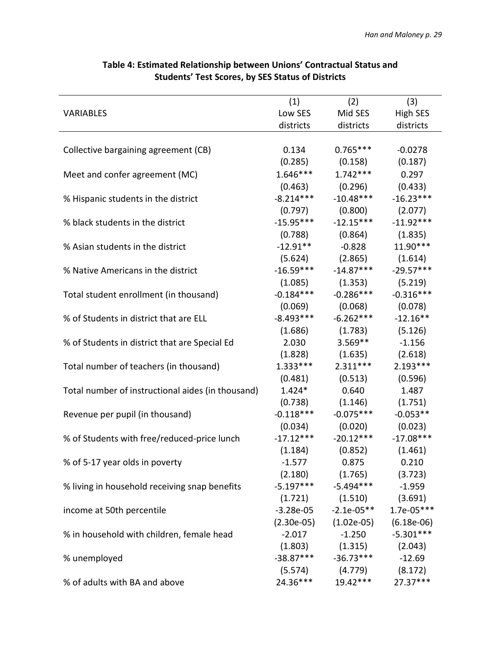|                                                   | (1)         | (2)                           | (3)             |
|---------------------------------------------------|-------------|-------------------------------|-----------------|
| <b>VARIABLES</b>                                  | Low SES     | Mid SES                       | <b>High SES</b> |
|                                                   | districts   | districts                     | districts       |
|                                                   |             |                               |                 |
| Collective bargaining agreement (CB)              | 0.134       | $0.765***$                    | $-0.0278$       |
|                                                   | (0.285)     | (0.158)                       | (0.187)         |
| Meet and confer agreement (MC)                    | $1.646***$  | $1.742***$                    | 0.297           |
|                                                   | (0.463)     | (0.296)                       | (0.433)         |
| % Hispanic students in the district               | $-8.214***$ | $-10.48***$                   | $-16.23***$     |
|                                                   | (0.797)     | (0.800)                       | (2.077)         |
| % black students in the district                  | $-15.95***$ | $-12.15***$                   | $-11.92***$     |
|                                                   | (0.788)     | (0.864)                       | (1.835)         |
| % Asian students in the district                  | $-12.91**$  | $-0.828$                      | $11.90***$      |
|                                                   |             | $(5.624)$ $(2.865)$           | (1.614)         |
| % Native Americans in the district                | $-16.59***$ | $-14.87***$                   | $-29.57***$     |
|                                                   | (1.085)     | (1.353)                       | (5.219)         |
| Total student enrollment (in thousand)            | $-0.184***$ | $-0.286***$                   | $-0.316***$     |
|                                                   | (0.069)     | (0.068)                       | (0.078)         |
| % of Students in district that are ELL            | $-8.493***$ | $-6.262***$                   | $-12.16**$      |
|                                                   | (1.686)     | (1.783)                       | (5.126)         |
| % of Students in district that are Special Ed     | 2.030       | $3.569**$                     | $-1.156$        |
|                                                   |             | $(1.828)$ $(1.635)$           | (2.618)         |
| Total number of teachers (in thousand)            | $1.333***$  | $2.311***$                    | $2.193***$      |
|                                                   | (0.481)     | (0.513)                       | (0.596)         |
| Total number of instructional aides (in thousand) | $1.424*$    | 0.640                         | 1.487           |
|                                                   | (0.738)     | (1.146)                       | (1.751)         |
| Revenue per pupil (in thousand)                   | $-0.118***$ | $-0.075***$                   | $-0.053**$      |
|                                                   | (0.034)     | (0.020)                       | (0.023)         |
| % of Students with free/reduced-price lunch       | $-17.12***$ | $-20.12***$                   | $-17.08***$     |
|                                                   | (1.184)     | (0.852)                       | (1.461)         |
| % of 5-17 year olds in poverty                    | $-1.577$    | 0.875                         | 0.210           |
|                                                   |             | $(2.180)$ $(1.765)$           | (3.723)         |
| % living in household receiving snap benefits     |             | $-5.197***$ $-5.494***$       | $-1.959$        |
|                                                   |             | $(1.721)$ $(1.510)$           | (3.691)         |
| income at 50th percentile                         | $-3.28e-05$ | $-2.1e-05**$                  | $1.7e-05***$    |
|                                                   |             | $(2.30e-05)$ $(1.02e-05)$     | $(6.18e-06)$    |
| % in household with children, female head         | $-2.017$    | $-1.250$                      | $-5.301***$     |
|                                                   |             | $(1.803)$ $(1.315)$ $(2.043)$ |                 |
| % unemployed                                      |             | $-38.87***$ $-36.73***$       | $-12.69$        |
|                                                   |             | $(5.574)$ $(4.779)$           | (8.172)         |
| % of adults with BA and above                     | 24.36***    | $19.42***$                    | 27.37***        |

# **Table 4: Estimated Relationship between Unions' Contractual Status and Students' Test Scores, by SES Status of Districts**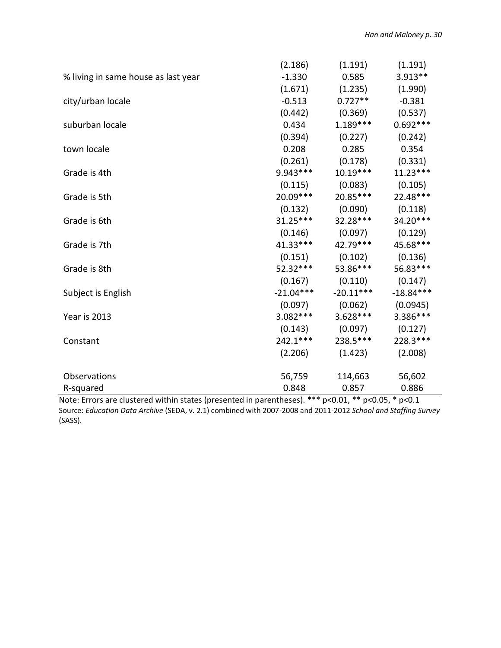|                                     | (2.186)     | (1.191)                        | (1.191)     |
|-------------------------------------|-------------|--------------------------------|-------------|
| % living in same house as last year | $-1.330$    | 0.585                          | $3.913**$   |
|                                     | (1.671)     | (1.235)                        | (1.990)     |
| city/urban locale                   | $-0.513$    | $0.727**$                      | $-0.381$    |
|                                     | (0.442)     | (0.369)                        | (0.537)     |
| suburban locale                     | 0.434       | $1.189***$                     | $0.692***$  |
|                                     | (0.394)     | (0.227)                        | (0.242)     |
| town locale                         | 0.208       | 0.285                          | 0.354       |
|                                     |             | $(0.261)$ $(0.178)$ $(0.331)$  |             |
| Grade is 4th                        | 9.943 ***   | $10.19***$                     | $11.23***$  |
|                                     | (0.115)     | (0.083)                        | (0.105)     |
| Grade is 5th                        | 20.09***    | 20.85***                       | 22.48***    |
|                                     |             | $(0.132)$ $(0.090)$ $(0.118)$  |             |
| Grade is 6th                        | $31.25***$  | 32.28 ***                      | $34.20***$  |
|                                     |             | $(0.146)$ $(0.097)$            | (0.129)     |
| Grade is 7th                        |             | 41.33*** 42.79***              | 45.68***    |
|                                     | (0.151)     | (0.102)                        | (0.136)     |
| Grade is 8th                        | 52.32***    | 53.86***                       | 56.83***    |
|                                     |             | $(0.167)$ $(0.110)$            | (0.147)     |
| Subject is English                  | $-21.04***$ | $-20.11***$                    | $-18.84***$ |
|                                     |             | $(0.097)$ $(0.062)$ $(0.0945)$ |             |
| Year is 2013                        | $3.082***$  | $3.628***$                     | $3.386***$  |
|                                     |             | $(0.143)$ $(0.097)$            | (0.127)     |
| Constant                            | $242.1***$  | 238.5***                       | 228.3***    |
|                                     | (2.206)     | (1.423)                        | (2.008)     |
| Observations                        | 56,759      | 114,663                        | 56,602      |
| R-squared                           | 0.848       | 0.857                          | 0.886       |

Note: Errors are clustered within states (presented in parentheses). \*\*\* p<0.01, \*\* p<0.05, \* p<0.1 Source: *Education Data Archive* (SEDA, v. 2.1) combined with 2007-2008 and 2011-2012 *School and Staffing Survey*  (SASS).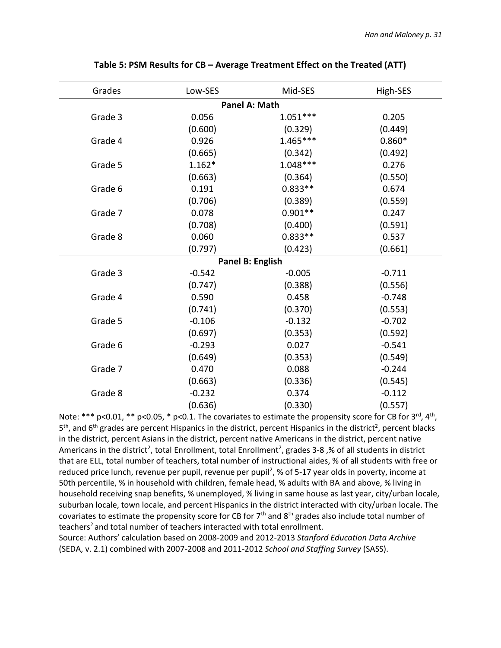| Grades  | Low-SES  | Mid-SES          | High-SES |
|---------|----------|------------------|----------|
|         |          | Panel A: Math    |          |
| Grade 3 | 0.056    | $1.051***$       | 0.205    |
|         | (0.600)  | (0.329)          | (0.449)  |
| Grade 4 | 0.926    | $1.465***$       | $0.860*$ |
|         | (0.665)  | (0.342)          | (0.492)  |
| Grade 5 | $1.162*$ | $1.048***$       | 0.276    |
|         | (0.663)  | (0.364)          | (0.550)  |
| Grade 6 | 0.191    | $0.833**$        | 0.674    |
|         | (0.706)  | (0.389)          | (0.559)  |
| Grade 7 | 0.078    | $0.901**$        | 0.247    |
|         | (0.708)  | (0.400)          | (0.591)  |
| Grade 8 | 0.060    | $0.833**$        | 0.537    |
|         | (0.797)  | (0.423)          | (0.661)  |
|         |          | Panel B: English |          |
| Grade 3 | $-0.542$ | $-0.005$         | $-0.711$ |
|         | (0.747)  | (0.388)          | (0.556)  |
| Grade 4 | 0.590    | 0.458            | $-0.748$ |
|         | (0.741)  | (0.370)          | (0.553)  |
| Grade 5 | $-0.106$ | $-0.132$         | $-0.702$ |
|         | (0.697)  | (0.353)          | (0.592)  |
| Grade 6 | $-0.293$ | 0.027            | $-0.541$ |
|         | (0.649)  | (0.353)          | (0.549)  |
| Grade 7 | 0.470    | 0.088            | $-0.244$ |
|         | (0.663)  | (0.336)          | (0.545)  |
| Grade 8 | $-0.232$ | 0.374            | $-0.112$ |
|         | (0.636)  | (0.330)          | (0.557)  |

### **Table 5: PSM Results for CB – Average Treatment Effect on the Treated (ATT)**

Note: \*\*\* p<0.01, \*\* p<0.05, \* p<0.1. The covariates to estimate the propensity score for CB for 3<sup>rd</sup>, 4<sup>th</sup>, 5<sup>th</sup>, and 6<sup>th</sup> grades are percent Hispanics in the district, percent Hispanics in the district<sup>2</sup>, percent blacks in the district, percent Asians in the district, percent native Americans in the district, percent native Americans in the district<sup>2</sup>, total Enrollment, total Enrollment<sup>2</sup>, grades 3-8,% of all students in district that are ELL, total number of teachers, total number of instructional aides, % of all students with free or reduced price lunch, revenue per pupil, revenue per pupil<sup>2</sup>, % of 5-17 year olds in poverty, income at 50th percentile, % in household with children, female head, % adults with BA and above, % living in household receiving snap benefits, % unemployed, % living in same house as last year, city/urban locale, suburban locale, town locale, and percent Hispanics in the district interacted with city/urban locale. The covariates to estimate the propensity score for CB for  $7<sup>th</sup>$  and  $8<sup>th</sup>$  grades also include total number of teachers<sup>2</sup> and total number of teachers interacted with total enrollment.

Source: Authors' calculation based on 2008-2009 and 2012-2013 *Stanford Education Data Archive* (SEDA, v. 2.1) combined with 2007-2008 and 2011-2012 *School and Staffing Survey* (SASS).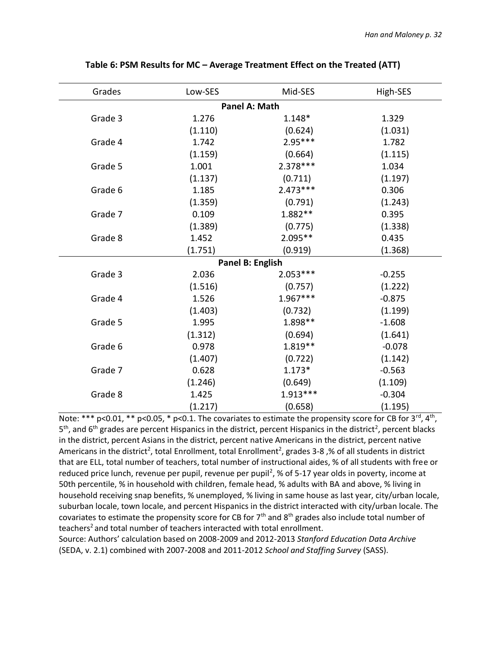| Grades  | Low-SES | Mid-SES          | High-SES |
|---------|---------|------------------|----------|
|         |         | Panel A: Math    |          |
| Grade 3 | 1.276   | 1.148*           | 1.329    |
|         | (1.110) | (0.624)          | (1.031)  |
| Grade 4 | 1.742   | $2.95***$        | 1.782    |
|         | (1.159) | (0.664)          | (1.115)  |
| Grade 5 | 1.001   | $2.378***$       | 1.034    |
|         | (1.137) | (0.711)          | (1.197)  |
| Grade 6 | 1.185   | $2.473***$       | 0.306    |
|         | (1.359) | (0.791)          | (1.243)  |
| Grade 7 | 0.109   | 1.882**          | 0.395    |
|         | (1.389) | (0.775)          | (1.338)  |
| Grade 8 | 1.452   | 2.095**          | 0.435    |
|         | (1.751) | (0.919)          | (1.368)  |
|         |         | Panel B: English |          |
| Grade 3 | 2.036   | $2.053***$       | $-0.255$ |
|         | (1.516) | (0.757)          | (1.222)  |
| Grade 4 | 1.526   | $1.967***$       | $-0.875$ |
|         | (1.403) | (0.732)          | (1.199)  |
| Grade 5 | 1.995   | 1.898 **         | $-1.608$ |
|         | (1.312) | (0.694)          | (1.641)  |
| Grade 6 | 0.978   | $1.819**$        | $-0.078$ |
|         | (1.407) | (0.722)          | (1.142)  |
| Grade 7 | 0.628   | $1.173*$         | $-0.563$ |
|         | (1.246) | (0.649)          | (1.109)  |
| Grade 8 | 1.425   | $1.913***$       | $-0.304$ |
|         | (1.217) | (0.658)          | (1.195)  |

**Table 6: PSM Results for MC – Average Treatment Effect on the Treated (ATT)**

Note: \*\*\* p<0.01, \*\* p<0.05, \* p<0.1. The covariates to estimate the propensity score for CB for  $3^{\text{rd}}$ ,  $4^{\text{th}}$ , 5<sup>th</sup>, and 6<sup>th</sup> grades are percent Hispanics in the district, percent Hispanics in the district<sup>2</sup>, percent blacks in the district, percent Asians in the district, percent native Americans in the district, percent native Americans in the district<sup>2</sup>, total Enrollment, total Enrollment<sup>2</sup>, grades 3-8,% of all students in district that are ELL, total number of teachers, total number of instructional aides, % of all students with free or reduced price lunch, revenue per pupil, revenue per pupil<sup>2</sup>, % of 5-17 year olds in poverty, income at 50th percentile, % in household with children, female head, % adults with BA and above, % living in household receiving snap benefits, % unemployed, % living in same house as last year, city/urban locale, suburban locale, town locale, and percent Hispanics in the district interacted with city/urban locale. The covariates to estimate the propensity score for CB for  $7<sup>th</sup>$  and  $8<sup>th</sup>$  grades also include total number of teachers<sup>2</sup> and total number of teachers interacted with total enrollment.

Source: Authors' calculation based on 2008-2009 and 2012-2013 *Stanford Education Data Archive* (SEDA, v. 2.1) combined with 2007-2008 and 2011-2012 *School and Staffing Survey* (SASS).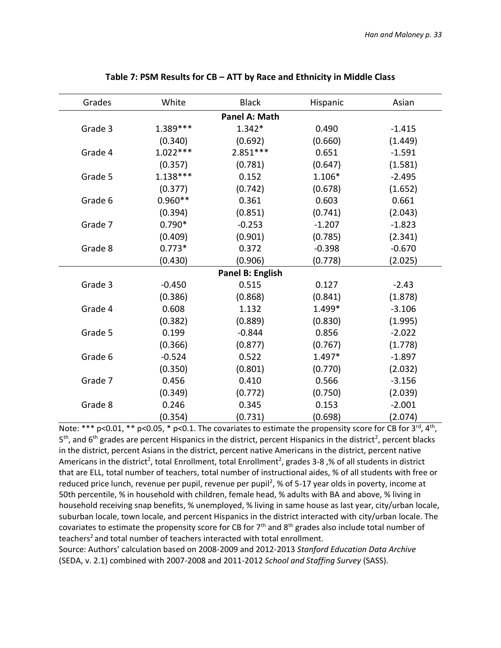| Grades  | White      | <b>Black</b>     | Hispanic | Asian    |
|---------|------------|------------------|----------|----------|
|         |            | Panel A: Math    |          |          |
| Grade 3 | 1.389***   | $1.342*$         | 0.490    | $-1.415$ |
|         | (0.340)    | (0.692)          | (0.660)  | (1.449)  |
| Grade 4 | $1.022***$ | $2.851***$       | 0.651    | $-1.591$ |
|         | (0.357)    | (0.781)          | (0.647)  | (1.581)  |
| Grade 5 | $1.138***$ | 0.152            | $1.106*$ | $-2.495$ |
|         | (0.377)    | (0.742)          | (0.678)  | (1.652)  |
| Grade 6 | $0.960**$  | 0.361            | 0.603    | 0.661    |
|         | (0.394)    | (0.851)          | (0.741)  | (2.043)  |
| Grade 7 | $0.790*$   | $-0.253$         | $-1.207$ | $-1.823$ |
|         | (0.409)    | (0.901)          | (0.785)  | (2.341)  |
| Grade 8 | $0.773*$   | 0.372            | $-0.398$ | $-0.670$ |
|         | (0.430)    | (0.906)          | (0.778)  | (2.025)  |
|         |            | Panel B: English |          |          |
| Grade 3 | $-0.450$   | 0.515            | 0.127    | $-2.43$  |
|         | (0.386)    | (0.868)          | (0.841)  | (1.878)  |
| Grade 4 | 0.608      | 1.132            | 1.499*   | $-3.106$ |
|         | (0.382)    | (0.889)          | (0.830)  | (1.995)  |
| Grade 5 | 0.199      | $-0.844$         | 0.856    | $-2.022$ |
|         | (0.366)    | (0.877)          | (0.767)  | (1.778)  |
| Grade 6 | $-0.524$   | 0.522            | 1.497*   | $-1.897$ |
|         | (0.350)    | (0.801)          | (0.770)  | (2.032)  |
| Grade 7 | 0.456      | 0.410            | 0.566    | $-3.156$ |
|         | (0.349)    | (0.772)          | (0.750)  | (2.039)  |
| Grade 8 | 0.246      | 0.345            | 0.153    | $-2.001$ |
|         | (0.354)    | (0.731)          | (0.698)  | (2.074)  |

### **Table 7: PSM Results for CB – ATT by Race and Ethnicity in Middle Class**

Note: \*\*\* p<0.01, \*\* p<0.05, \* p<0.1. The covariates to estimate the propensity score for CB for 3<sup>rd</sup>, 4<sup>th</sup>, 5<sup>th</sup>, and 6<sup>th</sup> grades are percent Hispanics in the district, percent Hispanics in the district<sup>2</sup>, percent blacks in the district, percent Asians in the district, percent native Americans in the district, percent native Americans in the district<sup>2</sup>, total Enrollment, total Enrollment<sup>2</sup>, grades 3-8,% of all students in district that are ELL, total number of teachers, total number of instructional aides, % of all students with free or reduced price lunch, revenue per pupil, revenue per pupil<sup>2</sup>, % of 5-17 year olds in poverty, income at 50th percentile, % in household with children, female head, % adults with BA and above, % living in household receiving snap benefits, % unemployed, % living in same house as last year, city/urban locale, suburban locale, town locale, and percent Hispanics in the district interacted with city/urban locale. The covariates to estimate the propensity score for CB for  $7<sup>th</sup>$  and  $8<sup>th</sup>$  grades also include total number of teachers<sup>2</sup> and total number of teachers interacted with total enrollment. Source: Authors' calculation based on 2008-2009 and 2012-2013 *Stanford Education Data Archive*

(SEDA, v. 2.1) combined with 2007-2008 and 2011-2012 *School and Staffing Survey* (SASS).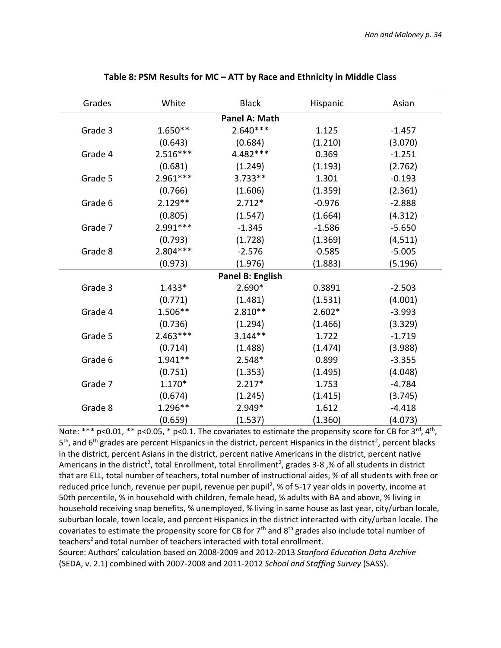| Grades  | White      | <b>Black</b>     | Hispanic | Asian    |
|---------|------------|------------------|----------|----------|
|         |            | Panel A: Math    |          |          |
| Grade 3 | $1.650**$  | $2.640***$       | 1.125    | $-1.457$ |
|         | (0.643)    | (0.684)          | (1.210)  | (3.070)  |
| Grade 4 | $2.516***$ | 4.482***         | 0.369    | $-1.251$ |
|         | (0.681)    | (1.249)          | (1.193)  | (2.762)  |
| Grade 5 | 2.961 ***  | $3.733**$        | 1.301    | $-0.193$ |
|         | (0.766)    | (1.606)          | (1.359)  | (2.361)  |
| Grade 6 | $2.129**$  | $2.712*$         | $-0.976$ | $-2.888$ |
|         | (0.805)    | (1.547)          | (1.664)  | (4.312)  |
| Grade 7 | 2.991 ***  | $-1.345$         | $-1.586$ | $-5.650$ |
|         | (0.793)    | (1.728)          | (1.369)  | (4, 511) |
| Grade 8 | $2.804***$ | $-2.576$         | $-0.585$ | $-5.005$ |
|         | (0.973)    | (1.976)          | (1.883)  | (5.196)  |
|         |            | Panel B: English |          |          |
| Grade 3 | $1.433*$   | 2.690*           | 0.3891   | $-2.503$ |
|         | (0.771)    | (1.481)          | (1.531)  | (4.001)  |
| Grade 4 | 1.506**    | $2.810**$        | $2.602*$ | $-3.993$ |
|         | (0.736)    | (1.294)          | (1.466)  | (3.329)  |
| Grade 5 | $2.463***$ | $3.144**$        | 1.722    | $-1.719$ |
|         | (0.714)    | (1.488)          | (1.474)  | (3.988)  |
| Grade 6 | 1.941**    | 2.548*           | 0.899    | $-3.355$ |
|         | (0.751)    | (1.353)          | (1.495)  | (4.048)  |
| Grade 7 | 1.170*     | $2.217*$         | 1.753    | $-4.784$ |
|         | (0.674)    | (1.245)          | (1.415)  | (3.745)  |
| Grade 8 | $1.296**$  | 2.949*           | 1.612    | $-4.418$ |
|         | (0.659)    | (1.537)          | (1.360)  | (4.073)  |

### **Table 8: PSM Results for MC – ATT by Race and Ethnicity in Middle Class**

Note: \*\*\* p<0.01, \*\* p<0.05, \* p<0.1. The covariates to estimate the propensity score for CB for 3<sup>rd</sup>, 4<sup>th</sup>, 5<sup>th</sup>, and 6<sup>th</sup> grades are percent Hispanics in the district, percent Hispanics in the district<sup>2</sup>, percent blacks in the district, percent Asians in the district, percent native Americans in the district, percent native Americans in the district<sup>2</sup>, total Enrollment, total Enrollment<sup>2</sup>, grades 3-8,% of all students in district that are ELL, total number of teachers, total number of instructional aides, % of all students with free or reduced price lunch, revenue per pupil, revenue per pupil<sup>2</sup>, % of 5-17 year olds in poverty, income at 50th percentile, % in household with children, female head, % adults with BA and above, % living in household receiving snap benefits, % unemployed, % living in same house as last year, city/urban locale, suburban locale, town locale, and percent Hispanics in the district interacted with city/urban locale. The covariates to estimate the propensity score for CB for  $7<sup>th</sup>$  and  $8<sup>th</sup>$  grades also include total number of teachers<sup>2</sup> and total number of teachers interacted with total enrollment.

Source: Authors' calculation based on 2008-2009 and 2012-2013 *Stanford Education Data Archive* (SEDA, v. 2.1) combined with 2007-2008 and 2011-2012 *School and Staffing Survey* (SASS).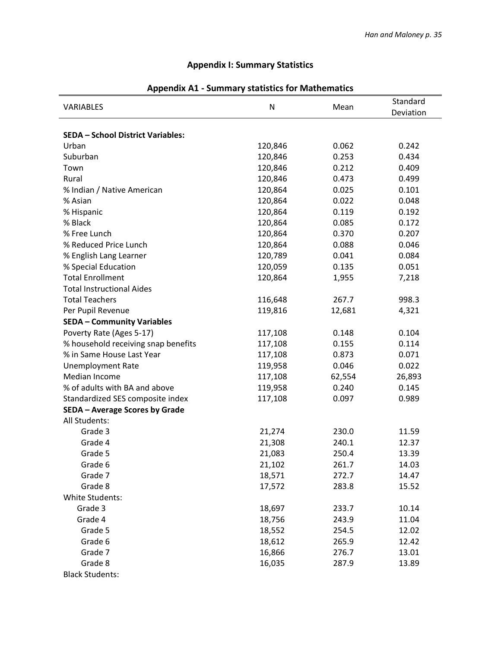# **Appendix I: Summary Statistics**

|                                          | $\mathsf{N}$ | Mean   | Standard  |
|------------------------------------------|--------------|--------|-----------|
| VARIABLES                                |              |        | Deviation |
|                                          |              |        |           |
| <b>SEDA - School District Variables:</b> |              |        |           |
| Urban                                    | 120,846      | 0.062  | 0.242     |
| Suburban                                 | 120,846      | 0.253  | 0.434     |
| Town                                     | 120,846      | 0.212  | 0.409     |
| Rural                                    | 120,846      | 0.473  | 0.499     |
| % Indian / Native American               | 120,864      | 0.025  | 0.101     |
| % Asian                                  | 120,864      | 0.022  | 0.048     |
| % Hispanic                               | 120,864      | 0.119  | 0.192     |
| % Black                                  | 120,864      | 0.085  | 0.172     |
| % Free Lunch                             | 120,864      | 0.370  | 0.207     |
| % Reduced Price Lunch                    | 120,864      | 0.088  | 0.046     |
| % English Lang Learner                   | 120,789      | 0.041  | 0.084     |
| % Special Education                      | 120,059      | 0.135  | 0.051     |
| <b>Total Enrollment</b>                  | 120,864      | 1,955  | 7,218     |
| <b>Total Instructional Aides</b>         |              |        |           |
| <b>Total Teachers</b>                    | 116,648      | 267.7  | 998.3     |
| Per Pupil Revenue                        | 119,816      | 12,681 | 4,321     |
| <b>SEDA - Community Variables</b>        |              |        |           |
| Poverty Rate (Ages 5-17)                 | 117,108      | 0.148  | 0.104     |
| % household receiving snap benefits      | 117,108      | 0.155  | 0.114     |
| % in Same House Last Year                | 117,108      | 0.873  | 0.071     |
| <b>Unemployment Rate</b>                 | 119,958      | 0.046  | 0.022     |
| Median Income                            | 117,108      | 62,554 | 26,893    |
| % of adults with BA and above            | 119,958      | 0.240  | 0.145     |
| Standardized SES composite index         | 117,108      | 0.097  | 0.989     |
| SEDA - Average Scores by Grade           |              |        |           |
| All Students:                            |              |        |           |
| Grade 3                                  | 21,274       | 230.0  | 11.59     |
| Grade 4                                  | 21,308       | 240.1  | 12.37     |
| Grade 5                                  | 21,083       | 250.4  | 13.39     |
| Grade 6                                  | 21,102       | 261.7  | 14.03     |
| Grade 7                                  | 18,571       | 272.7  | 14.47     |
| Grade 8                                  | 17,572       | 283.8  | 15.52     |
| <b>White Students:</b>                   |              |        |           |
| Grade 3                                  | 18,697       | 233.7  | 10.14     |
| Grade 4                                  | 18,756       | 243.9  | 11.04     |
| Grade 5                                  | 18,552       | 254.5  | 12.02     |
| Grade 6                                  | 18,612       | 265.9  | 12.42     |
| Grade 7                                  | 16,866       | 276.7  | 13.01     |
| Grade 8                                  | 16,035       | 287.9  | 13.89     |
| <b>Black Students:</b>                   |              |        |           |

# **Appendix A1 - Summary statistics for Mathematics**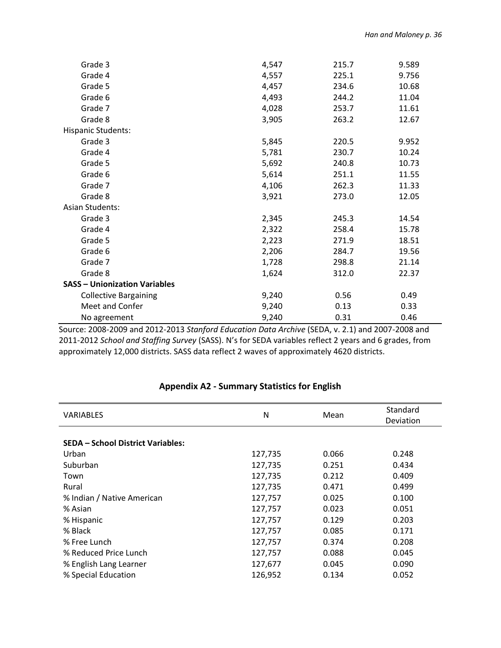| Grade 3                              | 4,547 | 215.7 | 9.589 |
|--------------------------------------|-------|-------|-------|
| Grade 4                              | 4,557 | 225.1 | 9.756 |
| Grade 5                              | 4,457 | 234.6 | 10.68 |
| Grade 6                              | 4,493 | 244.2 | 11.04 |
| Grade 7                              | 4,028 | 253.7 | 11.61 |
| Grade 8                              | 3,905 | 263.2 | 12.67 |
| <b>Hispanic Students:</b>            |       |       |       |
| Grade 3                              | 5,845 | 220.5 | 9.952 |
| Grade 4                              | 5,781 | 230.7 | 10.24 |
| Grade 5                              | 5,692 | 240.8 | 10.73 |
| Grade 6                              | 5,614 | 251.1 | 11.55 |
| Grade 7                              | 4,106 | 262.3 | 11.33 |
| Grade 8                              | 3,921 | 273.0 | 12.05 |
| <b>Asian Students:</b>               |       |       |       |
| Grade 3                              | 2,345 | 245.3 | 14.54 |
| Grade 4                              | 2,322 | 258.4 | 15.78 |
| Grade 5                              | 2,223 | 271.9 | 18.51 |
| Grade 6                              | 2,206 | 284.7 | 19.56 |
| Grade 7                              | 1,728 | 298.8 | 21.14 |
| Grade 8                              | 1,624 | 312.0 | 22.37 |
| <b>SASS - Unionization Variables</b> |       |       |       |
| <b>Collective Bargaining</b>         | 9,240 | 0.56  | 0.49  |
| Meet and Confer                      | 9,240 | 0.13  | 0.33  |
| No agreement                         | 9,240 | 0.31  | 0.46  |

Source: 2008-2009 and 2012-2013 *Stanford Education Data Archive* (SEDA, v. 2.1) and 2007-2008 and 2011-2012 *School and Staffing Survey* (SASS). N's for SEDA variables reflect 2 years and 6 grades, from approximately 12,000 districts. SASS data reflect 2 waves of approximately 4620 districts.

| <b>VARIABLES</b>                         | N       | Mean  | Standard  |
|------------------------------------------|---------|-------|-----------|
|                                          |         |       | Deviation |
|                                          |         |       |           |
| <b>SEDA - School District Variables:</b> |         |       |           |
| Urban                                    | 127,735 | 0.066 | 0.248     |
| Suburban                                 | 127,735 | 0.251 | 0.434     |
| Town                                     | 127,735 | 0.212 | 0.409     |
| Rural                                    | 127,735 | 0.471 | 0.499     |
| % Indian / Native American               | 127,757 | 0.025 | 0.100     |
| % Asian                                  | 127,757 | 0.023 | 0.051     |
| % Hispanic                               | 127,757 | 0.129 | 0.203     |
| % Black                                  | 127,757 | 0.085 | 0.171     |
| % Free Lunch                             | 127,757 | 0.374 | 0.208     |
| % Reduced Price Lunch                    | 127,757 | 0.088 | 0.045     |
| % English Lang Learner                   | 127,677 | 0.045 | 0.090     |
| % Special Education                      | 126,952 | 0.134 | 0.052     |

### **Appendix A2 - Summary Statistics for English**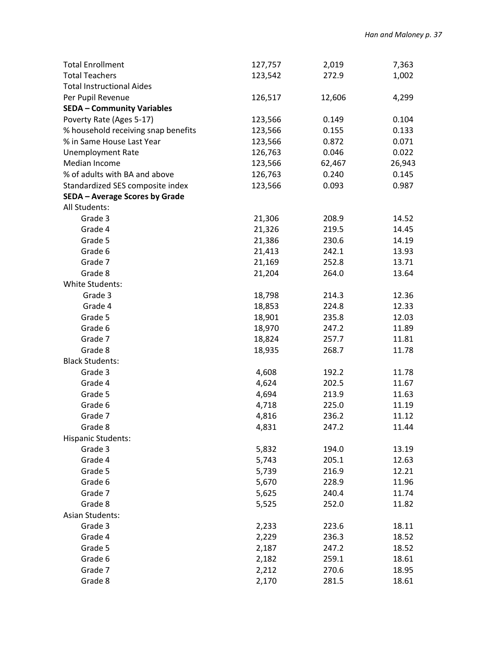| <b>Total Enrollment</b>             | 127,757        | 2,019  | 7,363  |
|-------------------------------------|----------------|--------|--------|
| <b>Total Teachers</b>               | 123,542        | 272.9  | 1,002  |
| <b>Total Instructional Aides</b>    |                |        |        |
| Per Pupil Revenue                   | 126,517        | 12,606 | 4,299  |
| <b>SEDA - Community Variables</b>   |                |        |        |
| Poverty Rate (Ages 5-17)            | 123,566        | 0.149  | 0.104  |
| % household receiving snap benefits | 123,566        | 0.155  | 0.133  |
| % in Same House Last Year           | 123,566        | 0.872  | 0.071  |
| <b>Unemployment Rate</b>            | 126,763        | 0.046  | 0.022  |
| Median Income                       | 123,566        | 62,467 | 26,943 |
| % of adults with BA and above       | 126,763        | 0.240  | 0.145  |
| Standardized SES composite index    | 123,566        | 0.093  | 0.987  |
| SEDA - Average Scores by Grade      |                |        |        |
| All Students:                       |                |        |        |
| Grade 3                             | 21,306         | 208.9  | 14.52  |
| Grade 4                             | 21,326         | 219.5  | 14.45  |
| Grade 5                             | 21,386         | 230.6  | 14.19  |
| Grade 6                             | 21,413         | 242.1  | 13.93  |
| Grade 7                             | 21,169         | 252.8  | 13.71  |
| Grade 8                             | 21,204         | 264.0  | 13.64  |
| White Students:                     |                |        |        |
| Grade 3                             | 18,798         | 214.3  | 12.36  |
| Grade 4                             | 18,853         | 224.8  | 12.33  |
| Grade 5                             | 18,901         | 235.8  | 12.03  |
| Grade 6                             | 18,970         | 247.2  | 11.89  |
| Grade 7                             | 18,824         | 257.7  | 11.81  |
| Grade 8                             | 18,935         | 268.7  | 11.78  |
| <b>Black Students:</b>              |                |        |        |
| Grade 3                             | 4,608          | 192.2  | 11.78  |
| Grade 4                             | 4,624          | 202.5  | 11.67  |
| Grade 5                             | 4,694          | 213.9  | 11.63  |
| Grade 6                             | 4,718          | 225.0  | 11.19  |
| Grade 7                             | 4,816          | 236.2  | 11.12  |
| Grade 8                             | 4,831          | 247.2  | 11.44  |
| <b>Hispanic Students:</b>           |                |        |        |
| Grade 3                             | 5,832          | 194.0  | 13.19  |
| Grade 4                             | 5,743          | 205.1  | 12.63  |
| Grade 5                             | 5,739          | 216.9  | 12.21  |
| Grade 6                             | 5,670          | 228.9  | 11.96  |
| Grade 7                             | 5,625          | 240.4  | 11.74  |
| Grade 8                             | 5,525          | 252.0  | 11.82  |
| <b>Asian Students:</b>              |                |        |        |
| Grade 3                             | 2,233          | 223.6  | 18.11  |
| Grade 4                             | 2,229          | 236.3  | 18.52  |
| Grade 5                             |                | 247.2  | 18.52  |
| Grade 6                             | 2,187          | 259.1  | 18.61  |
| Grade 7                             | 2,182<br>2,212 | 270.6  | 18.95  |
| Grade 8                             |                |        |        |
|                                     | 2,170          | 281.5  | 18.61  |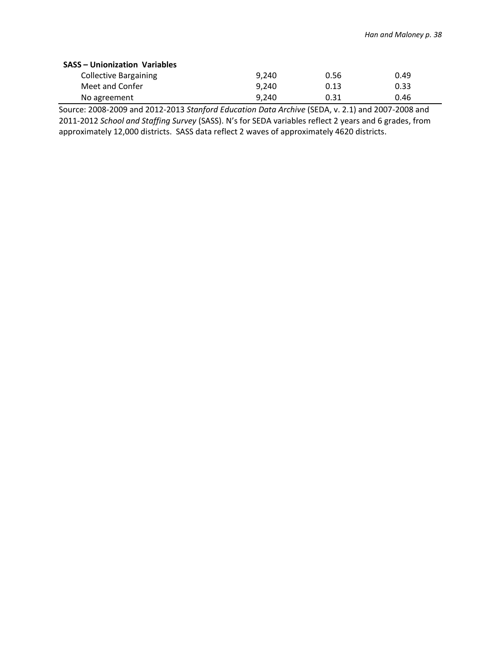| <b>SASS - Unionization Variables</b> |       |      |      |  |  |  |
|--------------------------------------|-------|------|------|--|--|--|
| <b>Collective Bargaining</b>         | 9.240 | 0.56 | 0.49 |  |  |  |
| Meet and Confer                      | 9.240 | 0.13 | 0.33 |  |  |  |
| No agreement                         | 9.240 | 0.31 | 0.46 |  |  |  |

Source: 2008-2009 and 2012-2013 *Stanford Education Data Archive* (SEDA, v. 2.1) and 2007-2008 and 2011-2012 *School and Staffing Survey* (SASS). N's for SEDA variables reflect 2 years and 6 grades, from approximately 12,000 districts. SASS data reflect 2 waves of approximately 4620 districts.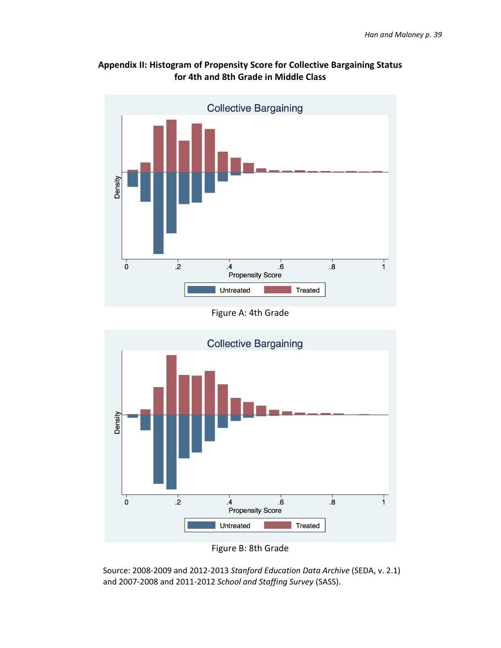

# **Appendix II: Histogram of Propensity Score for Collective Bargaining Status for 4th and 8th Grade in Middle Class**

Figure A: 4th Grade





Source: 2008-2009 and 2012-2013 *Stanford Education Data Archive* (SEDA, v. 2.1) and 2007-2008 and 2011-2012 *School and Staffing Survey* (SASS).